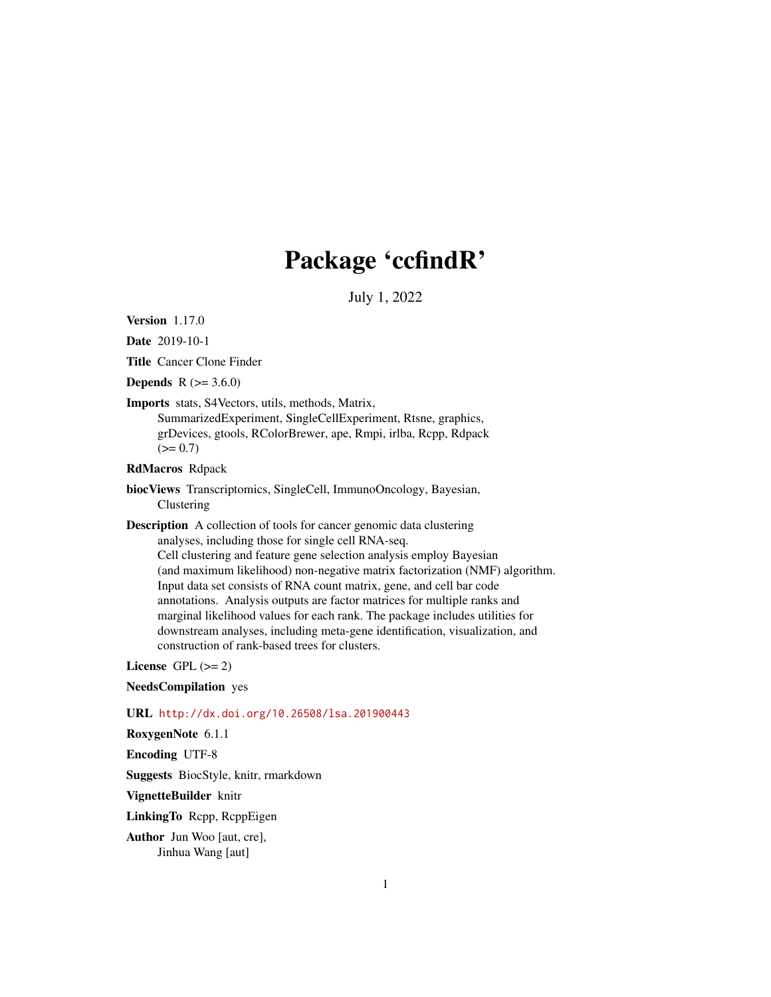## Package 'ccfindR'

July 1, 2022

<span id="page-0-0"></span>Version 1.17.0

Date 2019-10-1

Title Cancer Clone Finder

**Depends**  $R$  ( $> = 3.6.0$ )

Imports stats, S4Vectors, utils, methods, Matrix, SummarizedExperiment, SingleCellExperiment, Rtsne, graphics, grDevices, gtools, RColorBrewer, ape, Rmpi, irlba, Rcpp, Rdpack  $(>= 0.7)$ 

RdMacros Rdpack

biocViews Transcriptomics, SingleCell, ImmunoOncology, Bayesian, Clustering

Description A collection of tools for cancer genomic data clustering analyses, including those for single cell RNA-seq. Cell clustering and feature gene selection analysis employ Bayesian (and maximum likelihood) non-negative matrix factorization (NMF) algorithm. Input data set consists of RNA count matrix, gene, and cell bar code annotations. Analysis outputs are factor matrices for multiple ranks and marginal likelihood values for each rank. The package includes utilities for downstream analyses, including meta-gene identification, visualization, and construction of rank-based trees for clusters.

License GPL  $(>= 2)$ 

NeedsCompilation yes

URL <http://dx.doi.org/10.26508/lsa.201900443>

RoxygenNote 6.1.1

Encoding UTF-8

Suggests BiocStyle, knitr, rmarkdown

VignetteBuilder knitr

LinkingTo Rcpp, RcppEigen

Author Jun Woo [aut, cre], Jinhua Wang [aut]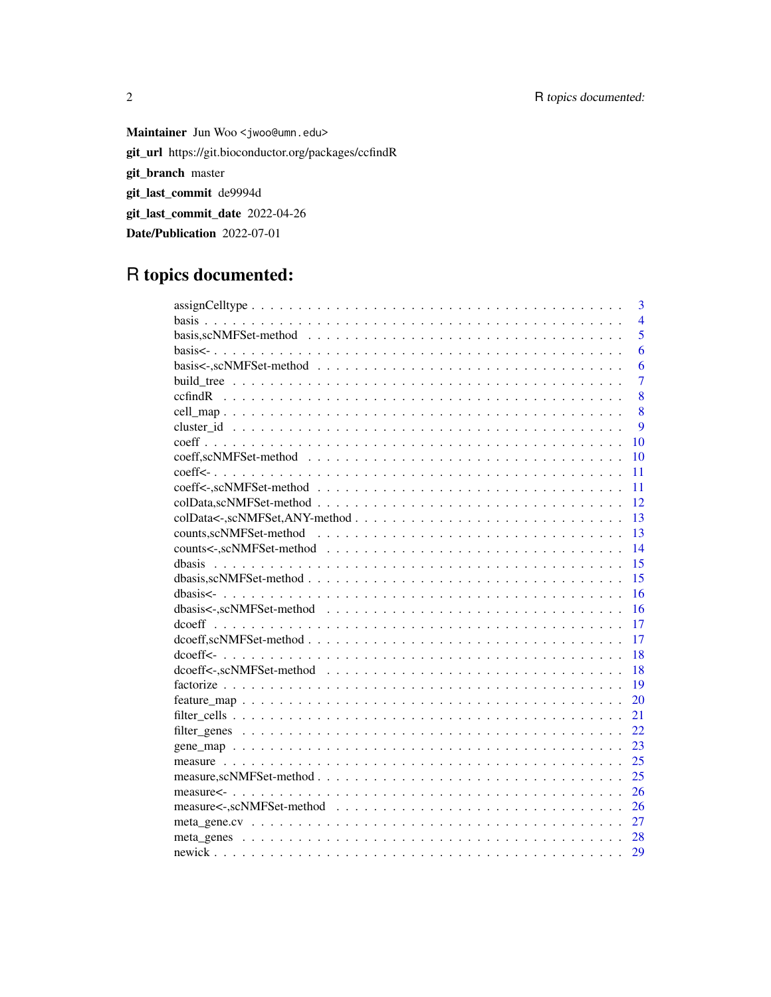Maintainer Jun Woo <jwoo@umn.edu> git\_url https://git.bioconductor.org/packages/ccfindR git\_branch master git\_last\_commit de9994d git\_last\_commit\_date 2022-04-26 Date/Publication 2022-07-01

## R topics documented:

| $\overline{3}$ |
|----------------|
| $\overline{4}$ |
| 5              |
| 6              |
| 6              |
| $\overline{7}$ |
| 8              |
| 8              |
| 9              |
| 10             |
| 10             |
| 11             |
| 11             |
| 12             |
| 13             |
| 13             |
| 14             |
| 15<br>dhasis   |
| 15             |
| 16             |
| 16             |
| 17             |
| 17             |
| 18             |
| 18             |
| 19             |
| 20             |
| 21             |
| 22             |
| 23             |
| 25             |
| 25             |
| 26             |
| 26             |
| 27             |
| 28             |
| 29             |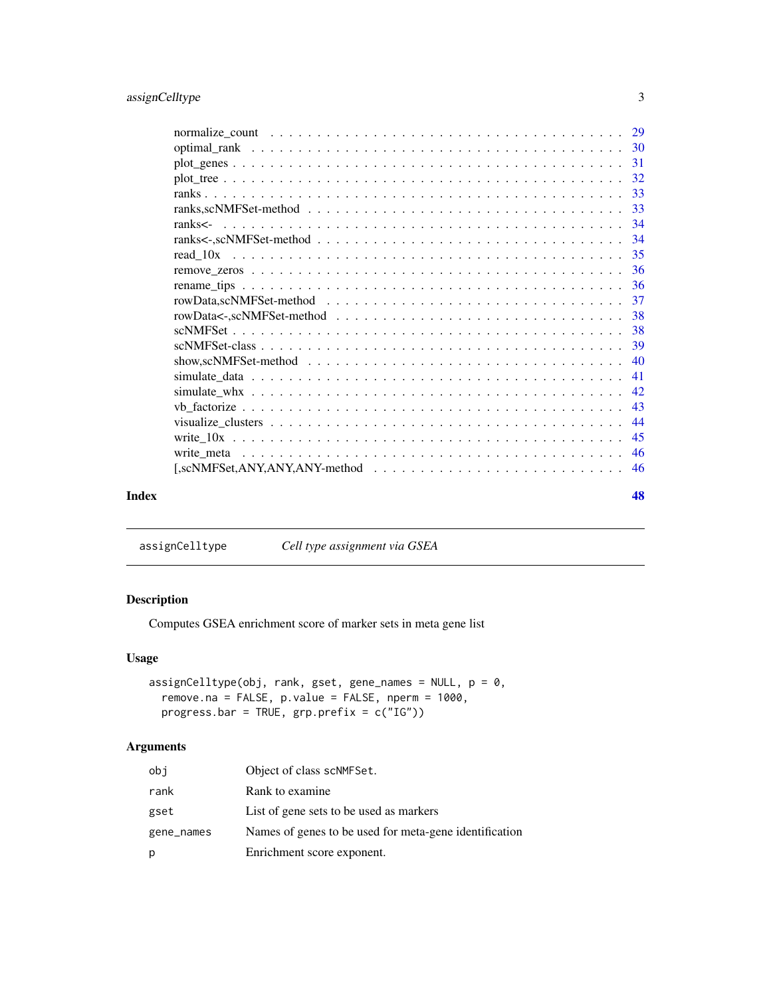<span id="page-2-0"></span>

| Index | 48 |
|-------|----|
|       |    |

assignCelltype *Cell type assignment via GSEA*

### Description

Computes GSEA enrichment score of marker sets in meta gene list

### Usage

```
assignCelltype(obj, rank, gset, gene_names = NULL, p = 0,
 remove.na = FALSE, p.value = FALSE, nperm = 1000,
 progress.bar = TRUE, grp.prefix = c("IG"))
```
### Arguments

| obi        | Object of class scNMFSet.                              |
|------------|--------------------------------------------------------|
| rank       | Rank to examine.                                       |
| gset       | List of gene sets to be used as markers                |
| gene_names | Names of genes to be used for meta-gene identification |
| p          | Enrichment score exponent.                             |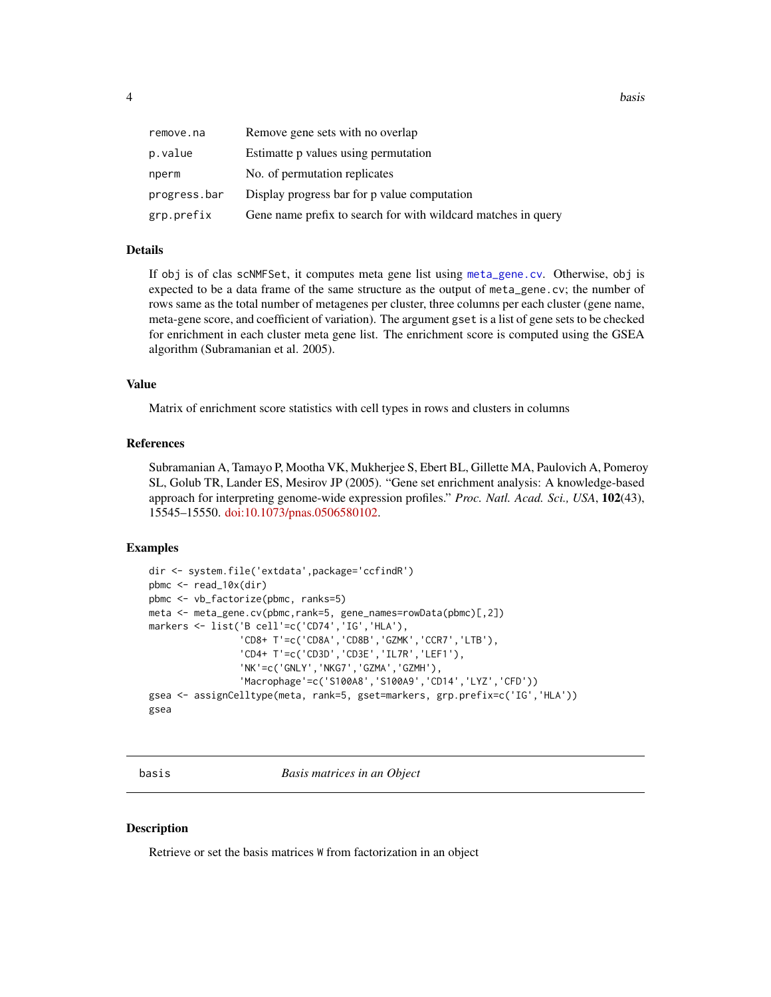<span id="page-3-0"></span>

| remove.na    | Remove gene sets with no overlap                              |
|--------------|---------------------------------------------------------------|
| p.value      | Estimatte p values using permutation                          |
| nperm        | No. of permutation replicates                                 |
| progress.bar | Display progress bar for p value computation                  |
| grp.prefix   | Gene name prefix to search for with wildcard matches in query |

### Details

If obj is of clas scNMFSet, it computes meta gene list using [meta\\_gene.cv](#page-26-1). Otherwise, obj is expected to be a data frame of the same structure as the output of meta\_gene.cv; the number of rows same as the total number of metagenes per cluster, three columns per each cluster (gene name, meta-gene score, and coefficient of variation). The argument gset is a list of gene sets to be checked for enrichment in each cluster meta gene list. The enrichment score is computed using the GSEA algorithm (Subramanian et al. 2005).

#### Value

Matrix of enrichment score statistics with cell types in rows and clusters in columns

#### References

Subramanian A, Tamayo P, Mootha VK, Mukherjee S, Ebert BL, Gillette MA, Paulovich A, Pomeroy SL, Golub TR, Lander ES, Mesirov JP (2005). "Gene set enrichment analysis: A knowledge-based approach for interpreting genome-wide expression profiles." *Proc. Natl. Acad. Sci., USA*, 102(43), 15545–15550. [doi:10.1073/pnas.0506580102.](https://doi.org/10.1073/pnas.0506580102)

#### Examples

```
dir <- system.file('extdata',package='ccfindR')
pbmc \leq read_10x(dir)
pbmc <- vb_factorize(pbmc, ranks=5)
meta <- meta_gene.cv(pbmc,rank=5, gene_names=rowData(pbmc)[,2])
markers <- list('B cell'=c('CD74','IG','HLA'),
                'CD8+ T'=c('CD8A','CD8B','GZMK','CCR7','LTB'),
                'CD4+ T'=c('CD3D','CD3E','IL7R','LEF1'),
                'NK'=c('GNLY','NKG7','GZMA','GZMH'),
                'Macrophage'=c('S100A8','S100A9','CD14','LYZ','CFD'))
gsea <- assignCelltype(meta, rank=5, gset=markers, grp.prefix=c('IG','HLA'))
gsea
```
basis *Basis matrices in an Object*

#### Description

Retrieve or set the basis matrices W from factorization in an object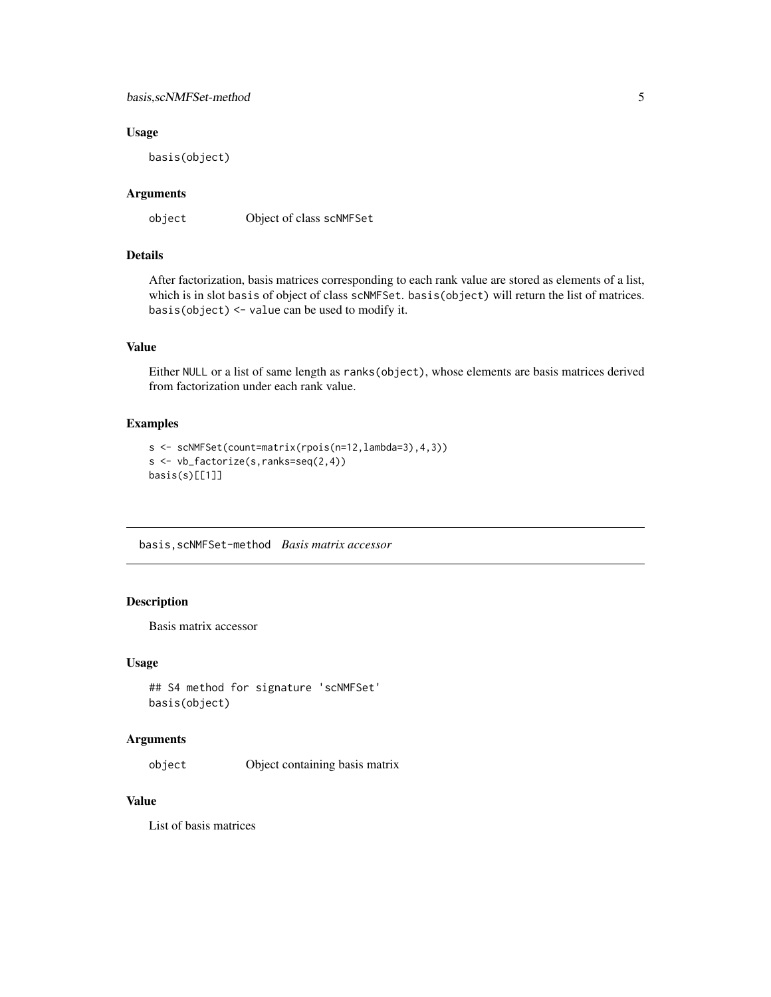### <span id="page-4-0"></span>basis,scNMFSet-method 5

### Usage

basis(object)

### Arguments

object Object of class scNMFSet

### Details

After factorization, basis matrices corresponding to each rank value are stored as elements of a list, which is in slot basis of object of class scNMFSet. basis(object) will return the list of matrices. basis(object) <- value can be used to modify it.

### Value

Either NULL or a list of same length as ranks(object), whose elements are basis matrices derived from factorization under each rank value.

### Examples

```
s <- scNMFSet(count=matrix(rpois(n=12,lambda=3),4,3))
s <- vb_factorize(s,ranks=seq(2,4))
basis(s)[[1]]
```
basis,scNMFSet-method *Basis matrix accessor*

### Description

Basis matrix accessor

### Usage

```
## S4 method for signature 'scNMFSet'
basis(object)
```
### Arguments

object Object containing basis matrix

#### Value

List of basis matrices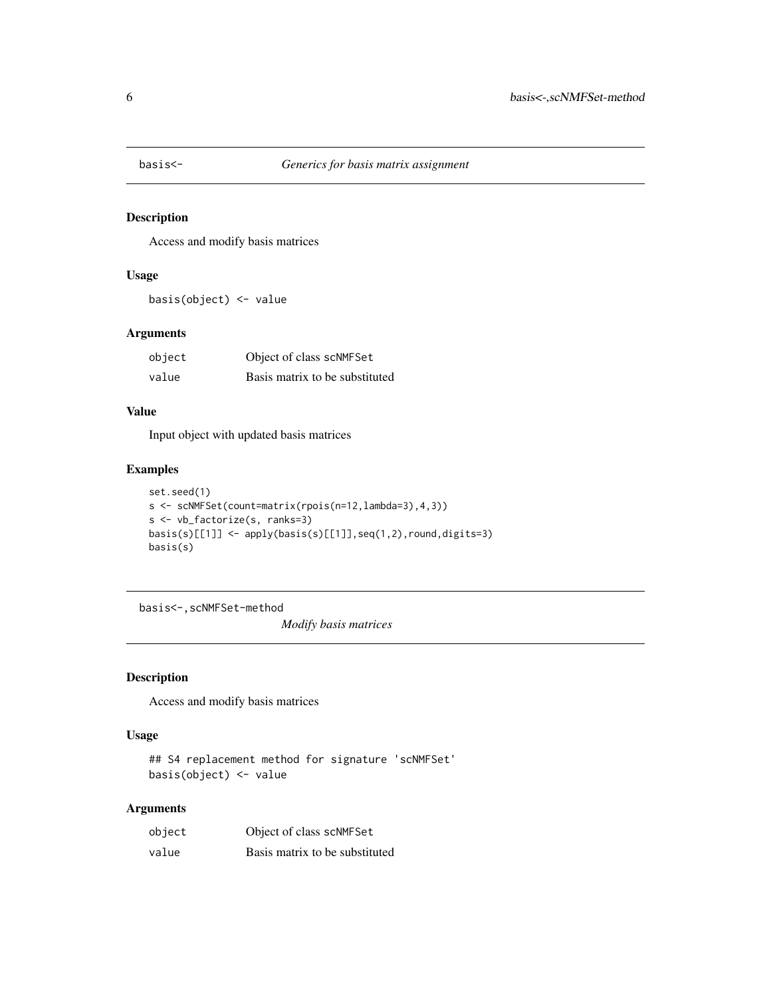<span id="page-5-0"></span>

Access and modify basis matrices

### Usage

basis(object) <- value

### Arguments

| object | Object of class scNMFSet       |
|--------|--------------------------------|
| value  | Basis matrix to be substituted |

### Value

Input object with updated basis matrices

#### Examples

```
set.seed(1)
s <- scNMFSet(count=matrix(rpois(n=12,lambda=3),4,3))
s <- vb_factorize(s, ranks=3)
basis(s)[[1]] <- apply(basis(s)[[1]],seq(1,2),round,digits=3)
basis(s)
```
basis<-,scNMFSet-method

*Modify basis matrices*

### Description

Access and modify basis matrices

#### Usage

```
## S4 replacement method for signature 'scNMFSet'
basis(object) <- value
```
### Arguments

| object | Object of class scNMFSet       |
|--------|--------------------------------|
| value  | Basis matrix to be substituted |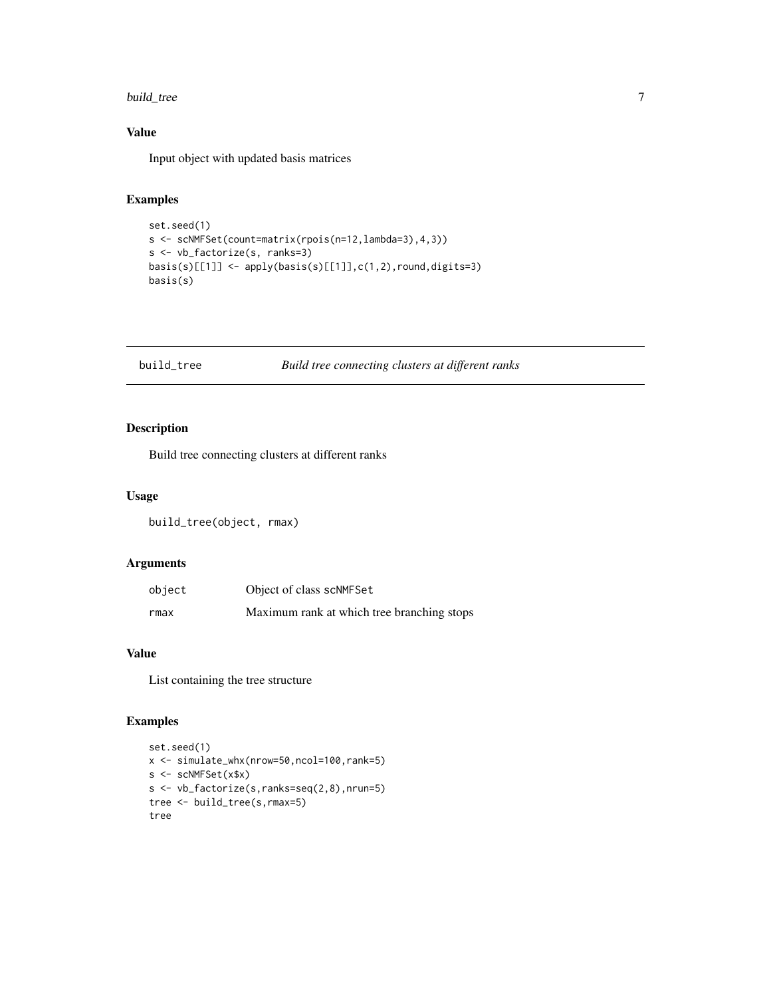#### <span id="page-6-0"></span>build\_tree 7

### Value

Input object with updated basis matrices

### Examples

```
set.seed(1)
s <- scNMFSet(count=matrix(rpois(n=12,lambda=3),4,3))
s <- vb_factorize(s, ranks=3)
basis(s)[[1]] <- apply(basis(s)[[1]],c(1,2),round,digits=3)
basis(s)
```
<span id="page-6-1"></span>

#### build\_tree *Build tree connecting clusters at different ranks*

### Description

Build tree connecting clusters at different ranks

### Usage

build\_tree(object, rmax)

### Arguments

| object | Object of class scNMFSet                   |
|--------|--------------------------------------------|
| rmax   | Maximum rank at which tree branching stops |

#### Value

List containing the tree structure

```
set.seed(1)
x <- simulate_whx(nrow=50,ncol=100,rank=5)
s <- scNMFSet(x$x)
s <- vb_factorize(s,ranks=seq(2,8),nrun=5)
tree <- build_tree(s,rmax=5)
tree
```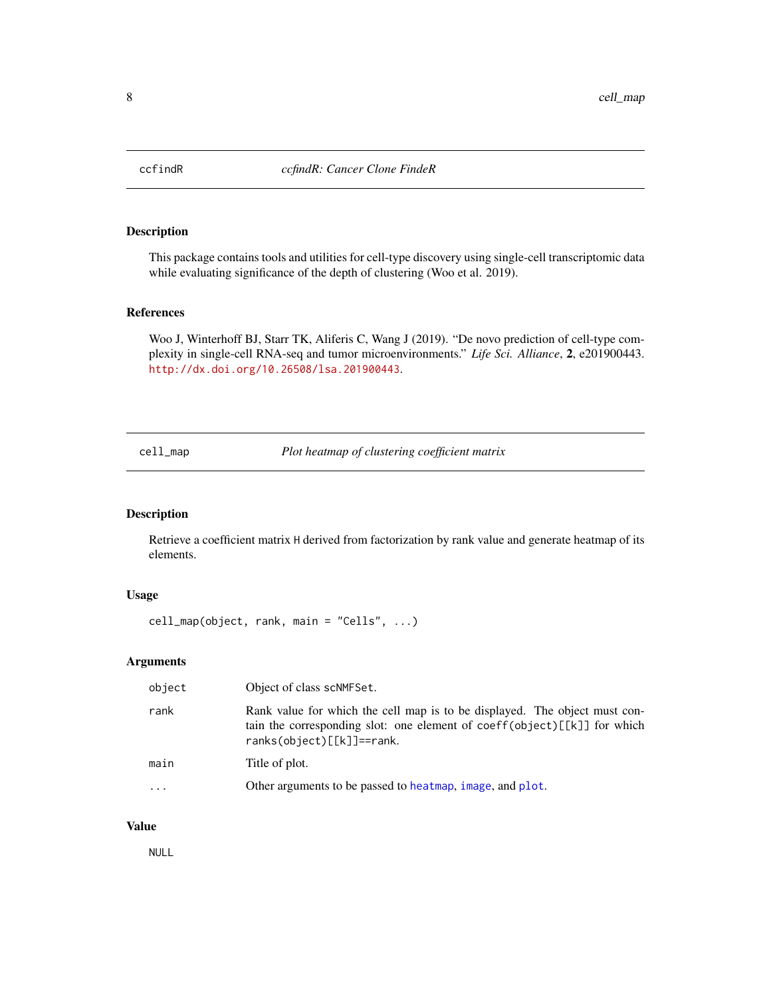<span id="page-7-0"></span>

This package contains tools and utilities for cell-type discovery using single-cell transcriptomic data while evaluating significance of the depth of clustering (Woo et al. 2019).

#### References

Woo J, Winterhoff BJ, Starr TK, Aliferis C, Wang J (2019). "De novo prediction of cell-type complexity in single-cell RNA-seq and tumor microenvironments." *Life Sci. Alliance*, 2, e201900443. <http://dx.doi.org/10.26508/lsa.201900443>.

cell\_map *Plot heatmap of clustering coefficient matrix*

### Description

Retrieve a coefficient matrix H derived from factorization by rank value and generate heatmap of its elements.

### Usage

```
cell_map(object, rank, main = "Cells", ...)
```
### Arguments

| object    | Object of class scNMFSet.                                                                                                                                                                |
|-----------|------------------------------------------------------------------------------------------------------------------------------------------------------------------------------------------|
| rank      | Rank value for which the cell map is to be displayed. The object must con-<br>tain the corresponding slot: one element of coeff(object) $[k]$ for which<br>$ranks(object)[[k]] == rank.$ |
| main      | Title of plot.                                                                                                                                                                           |
| $\ddotsc$ | Other arguments to be passed to heatmap, image, and plot.                                                                                                                                |

#### Value

NULL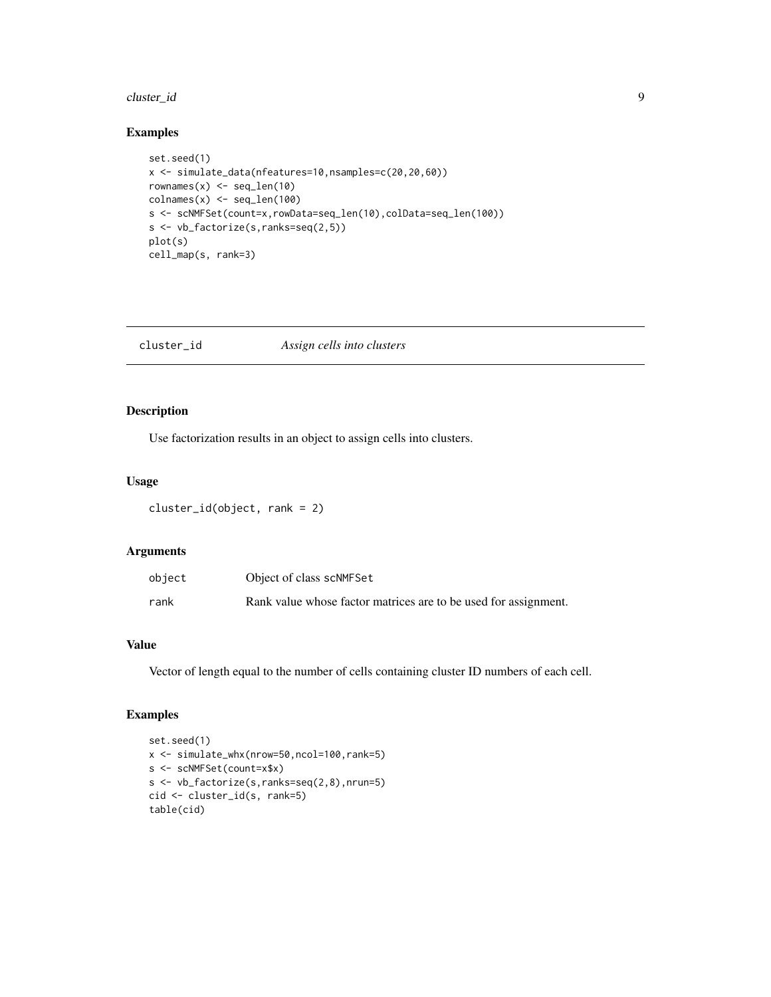#### <span id="page-8-0"></span>cluster\_id 9

### Examples

```
set.seed(1)
x <- simulate_data(nfeatures=10,nsamples=c(20,20,60))
rownames(x) \leftarrow seq\_len(10)\text{colnames}(x) \leftarrow \text{seq\_len}(100)s <- scNMFSet(count=x,rowData=seq_len(10),colData=seq_len(100))
s <- vb_factorize(s,ranks=seq(2,5))
plot(s)
cell_map(s, rank=3)
```

| cluster_id<br>Assign cells into clusters |
|------------------------------------------|
|------------------------------------------|

### Description

Use factorization results in an object to assign cells into clusters.

#### Usage

cluster\_id(object, rank = 2)

#### Arguments

| object | Object of class scNMFSet                                        |
|--------|-----------------------------------------------------------------|
| rank   | Rank value whose factor matrices are to be used for assignment. |

### Value

Vector of length equal to the number of cells containing cluster ID numbers of each cell.

```
set.seed(1)
x <- simulate_whx(nrow=50,ncol=100,rank=5)
s <- scNMFSet(count=x$x)
s <- vb_factorize(s,ranks=seq(2,8),nrun=5)
cid <- cluster_id(s, rank=5)
table(cid)
```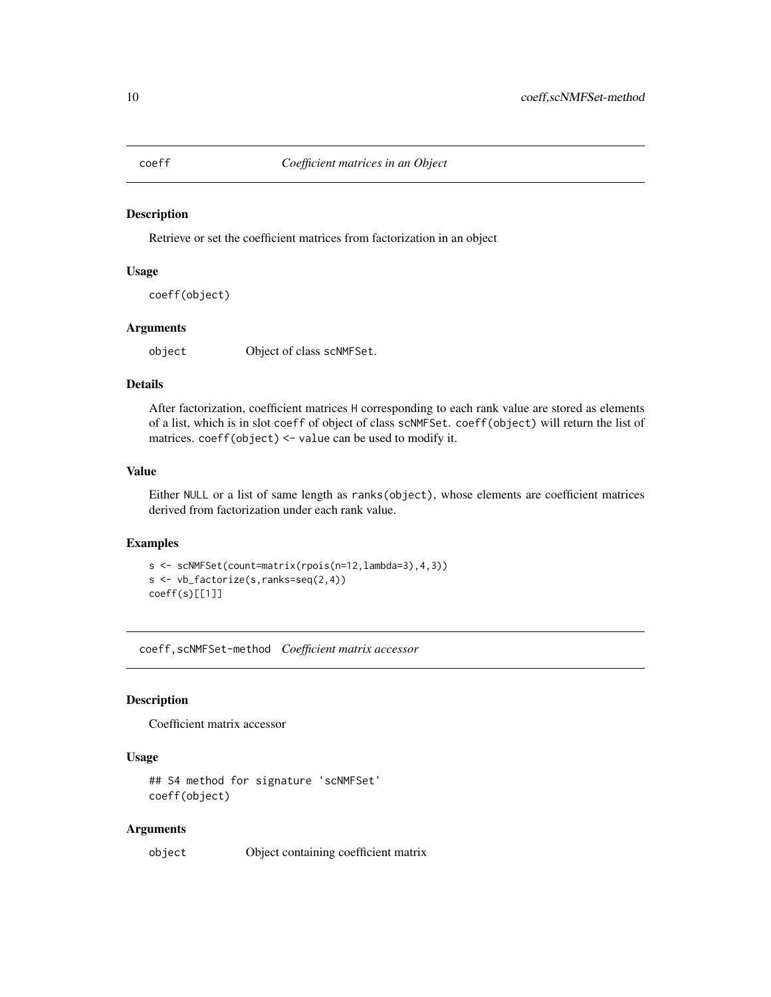<span id="page-9-0"></span>

Retrieve or set the coefficient matrices from factorization in an object

### Usage

coeff(object)

#### Arguments

object Object of class scNMFSet.

### Details

After factorization, coefficient matrices H corresponding to each rank value are stored as elements of a list, which is in slot coeff of object of class scNMFSet. coeff(object) will return the list of matrices. coeff(object) <- value can be used to modify it.

### Value

Either NULL or a list of same length as ranks(object), whose elements are coefficient matrices derived from factorization under each rank value.

### Examples

```
s <- scNMFSet(count=matrix(rpois(n=12,lambda=3),4,3))
s <- vb_factorize(s,ranks=seq(2,4))
coeff(s)[[1]]
```
coeff,scNMFSet-method *Coefficient matrix accessor*

### Description

Coefficient matrix accessor

#### Usage

```
## S4 method for signature 'scNMFSet'
coeff(object)
```
#### Arguments

object Object containing coefficient matrix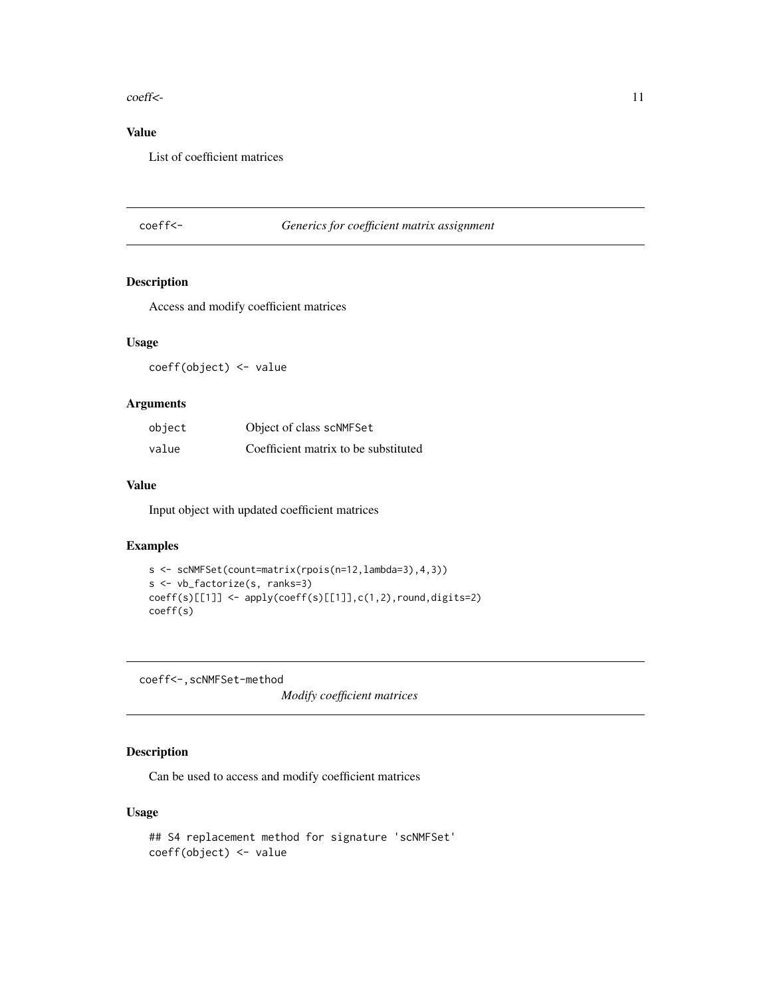#### <span id="page-10-0"></span>coeff<- 11

### Value

List of coefficient matrices

### coeff<- *Generics for coefficient matrix assignment*

#### Description

Access and modify coefficient matrices

#### Usage

coeff(object) <- value

### Arguments

| object | Object of class scNMFSet             |
|--------|--------------------------------------|
| value  | Coefficient matrix to be substituted |

### Value

Input object with updated coefficient matrices

### Examples

```
s <- scNMFSet(count=matrix(rpois(n=12,lambda=3),4,3))
s <- vb_factorize(s, ranks=3)
coeff(s)[[1]] <- apply(coeff(s)[[1]],c(1,2),round,digits=2)
coeff(s)
```
coeff<-,scNMFSet-method

*Modify coefficient matrices*

### Description

Can be used to access and modify coefficient matrices

### Usage

```
## S4 replacement method for signature 'scNMFSet'
coeff(object) <- value
```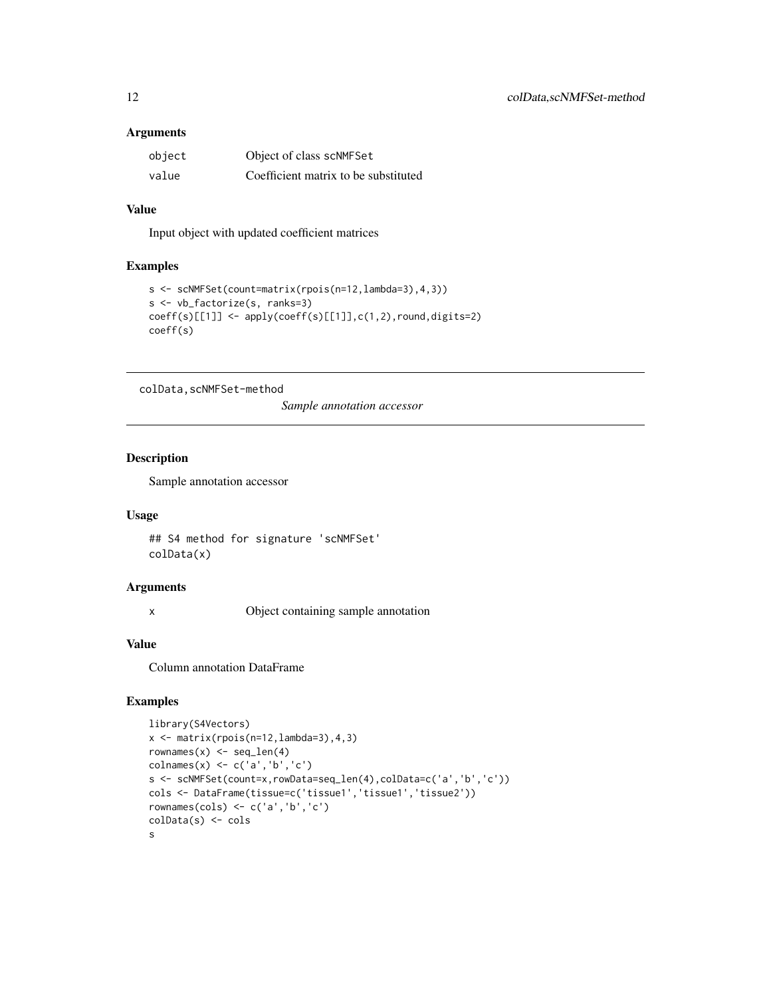### <span id="page-11-0"></span>Arguments

| object | Object of class scNMFSet             |
|--------|--------------------------------------|
| value  | Coefficient matrix to be substituted |

### Value

Input object with updated coefficient matrices

#### Examples

```
s <- scNMFSet(count=matrix(rpois(n=12,lambda=3),4,3))
s <- vb_factorize(s, ranks=3)
coeff(s)[[1]] <- apply(coeff(s)[[1]],c(1,2),round,digits=2)
coeff(s)
```
colData,scNMFSet-method

*Sample annotation accessor*

### Description

Sample annotation accessor

#### Usage

```
## S4 method for signature 'scNMFSet'
colData(x)
```
#### Arguments

x Object containing sample annotation

### Value

Column annotation DataFrame

```
library(S4Vectors)
x \leftarrow \text{matrix}(rpois(n=12,lambda=3), 4, 3)rownames(x) \leftarrow seq\_len(4)colnames(x) <- c('a','b','c')
s <- scNMFSet(count=x,rowData=seq_len(4),colData=c('a','b','c'))
cols <- DataFrame(tissue=c('tissue1','tissue1','tissue2'))
rownames(cols) <- c('a','b','c')
colData(s) <- cols
s
```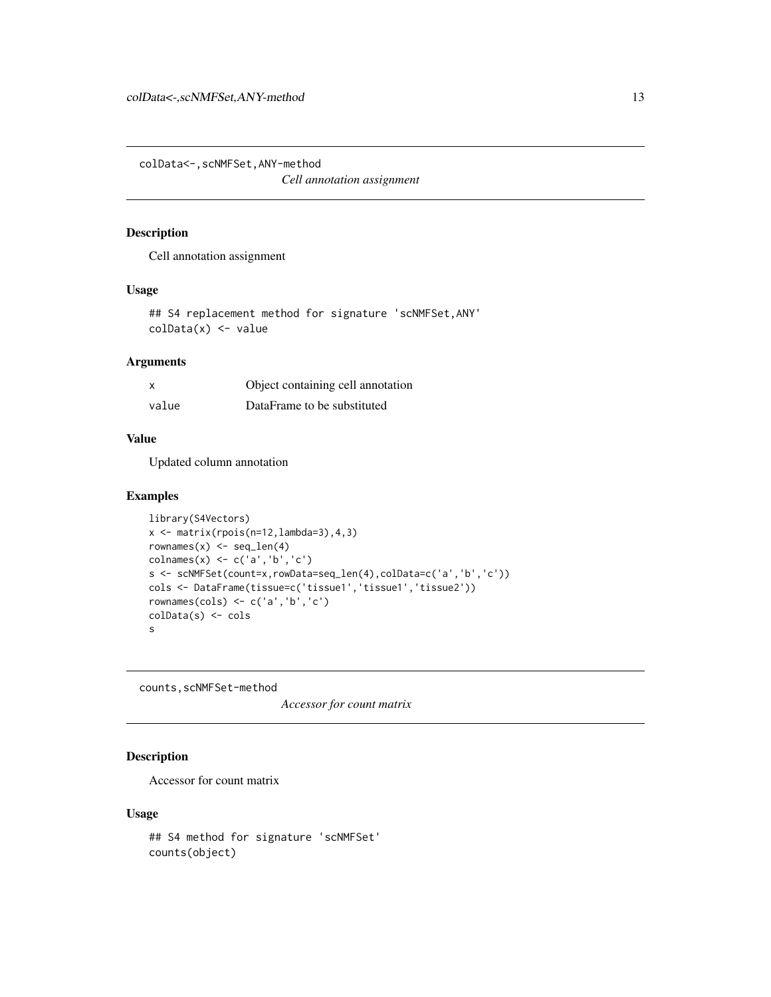<span id="page-12-0"></span>colData<-,scNMFSet,ANY-method *Cell annotation assignment*

#### Description

Cell annotation assignment

### Usage

## S4 replacement method for signature 'scNMFSet,ANY'  $\text{colData}(x) \leq -\text{value}$ 

### Arguments

| x     | Object containing cell annotation |
|-------|-----------------------------------|
| value | DataFrame to be substituted       |

#### Value

Updated column annotation

#### Examples

```
library(S4Vectors)
x \leftarrow \text{matrix}(rpois(n=12,lambda=3), 4, 3)rownames(x) \leftarrow seq\_len(4)\text{columns}(x) \leftarrow c('a', 'b', 'c')s <- scNMFSet(count=x,rowData=seq_len(4),colData=c('a','b','c'))
cols <- DataFrame(tissue=c('tissue1','tissue1','tissue2'))
rownames(cols) <- c('a','b','c')
colData(s) <- cols
s
```
counts,scNMFSet-method

*Accessor for count matrix*

### Description

Accessor for count matrix

#### Usage

```
## S4 method for signature 'scNMFSet'
counts(object)
```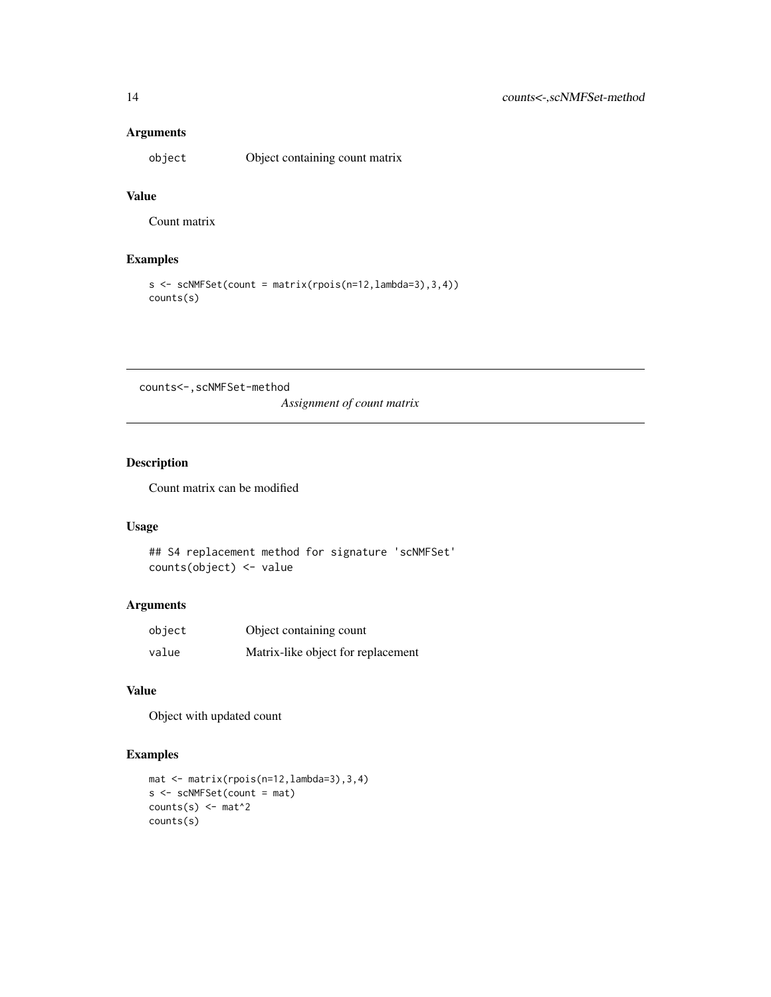### Arguments

object Object containing count matrix

### Value

Count matrix

### Examples

```
s \leftarrow \text{scNNFSet}(\text{count} = \text{matrix}(\text{rpois}(n=12, \text{lambda}=3), 3, 4))counts(s)
```
counts<-,scNMFSet-method

*Assignment of count matrix*

### Description

Count matrix can be modified

### Usage

```
## S4 replacement method for signature 'scNMFSet'
counts(object) <- value
```
### Arguments

| object | Object containing count            |
|--------|------------------------------------|
| value  | Matrix-like object for replacement |

#### Value

Object with updated count

```
mat <- matrix(rpois(n=12,lambda=3),3,4)
s <- scNMFSet(count = mat)
counts(s) \leq mat<sup>^2</sup>
counts(s)
```
<span id="page-13-0"></span>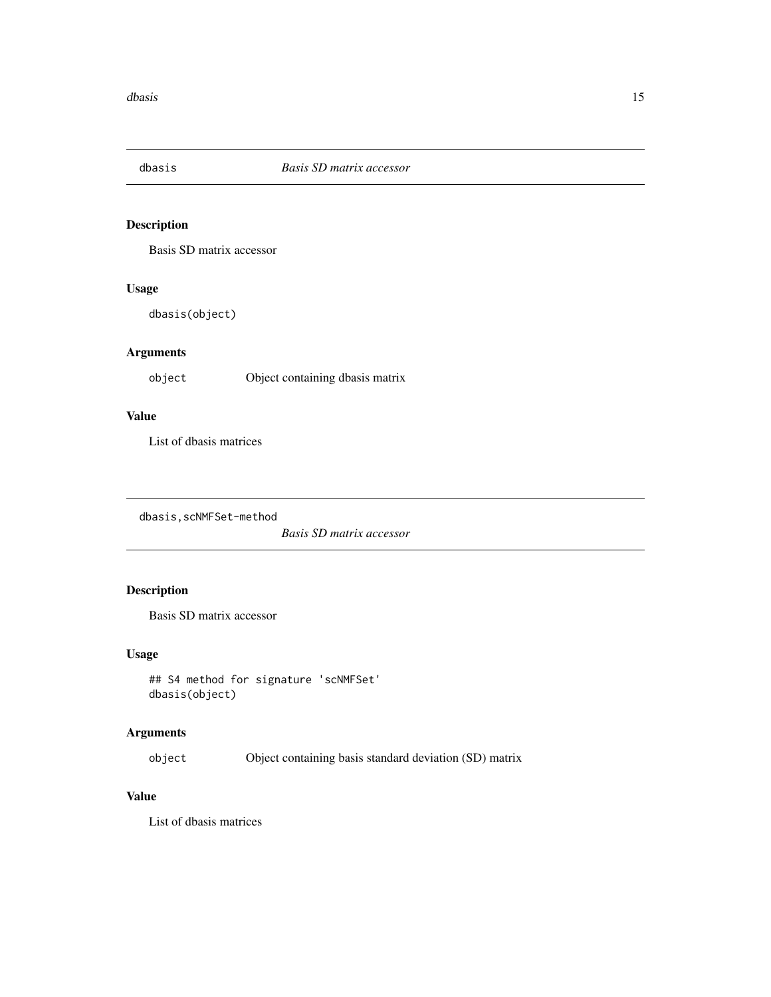<span id="page-14-0"></span>

Basis SD matrix accessor

#### Usage

dbasis(object)

### Arguments

object Object containing dbasis matrix

### Value

List of dbasis matrices

dbasis,scNMFSet-method

*Basis SD matrix accessor*

### Description

Basis SD matrix accessor

#### Usage

```
## S4 method for signature 'scNMFSet'
dbasis(object)
```
### Arguments

object Object containing basis standard deviation (SD) matrix

### Value

List of dbasis matrices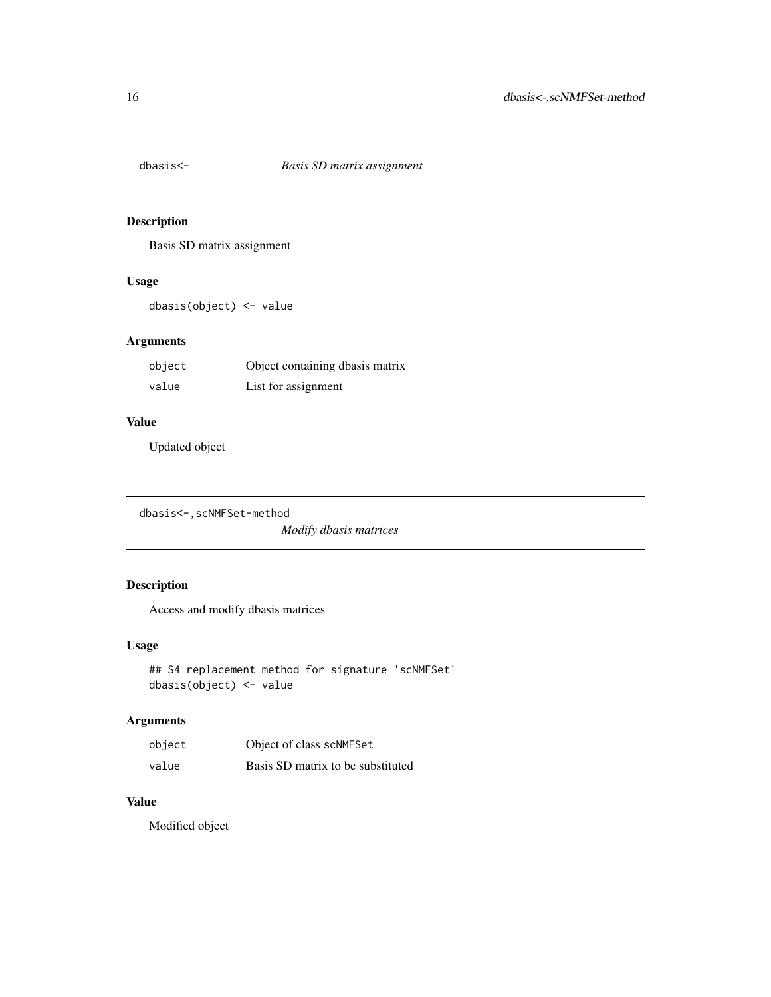<span id="page-15-0"></span>

Basis SD matrix assignment

### Usage

dbasis(object) <- value

### Arguments

| object | Object containing dbasis matrix |
|--------|---------------------------------|
| value  | List for assignment             |

### Value

Updated object

```
dbasis<-,scNMFSet-method
```
*Modify dbasis matrices*

### Description

Access and modify dbasis matrices

### Usage

```
## S4 replacement method for signature 'scNMFSet'
dbasis(object) <- value
```
### Arguments

| object | Object of class scNMFSet          |
|--------|-----------------------------------|
| value  | Basis SD matrix to be substituted |

### Value

Modified object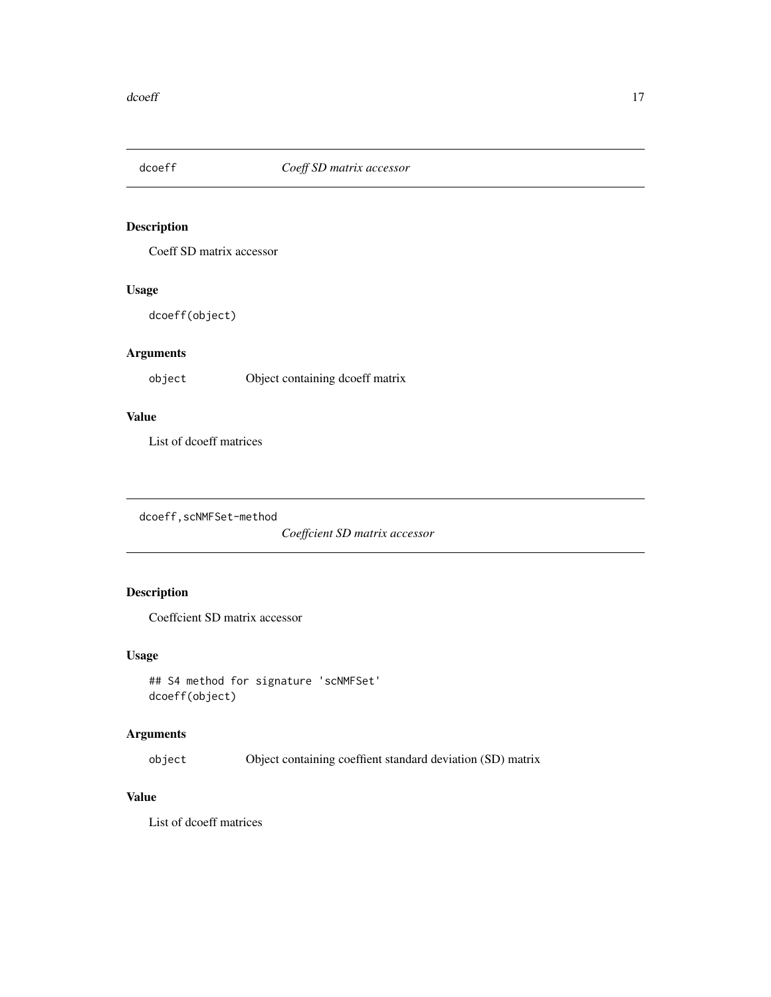<span id="page-16-0"></span>

Coeff SD matrix accessor

### Usage

dcoeff(object)

### Arguments

object Object containing dcoeff matrix

### Value

List of dcoeff matrices

dcoeff,scNMFSet-method

*Coeffcient SD matrix accessor*

### Description

Coeffcient SD matrix accessor

### Usage

```
## S4 method for signature 'scNMFSet'
dcoeff(object)
```
### Arguments

object Object containing coeffient standard deviation (SD) matrix

### Value

List of dcoeff matrices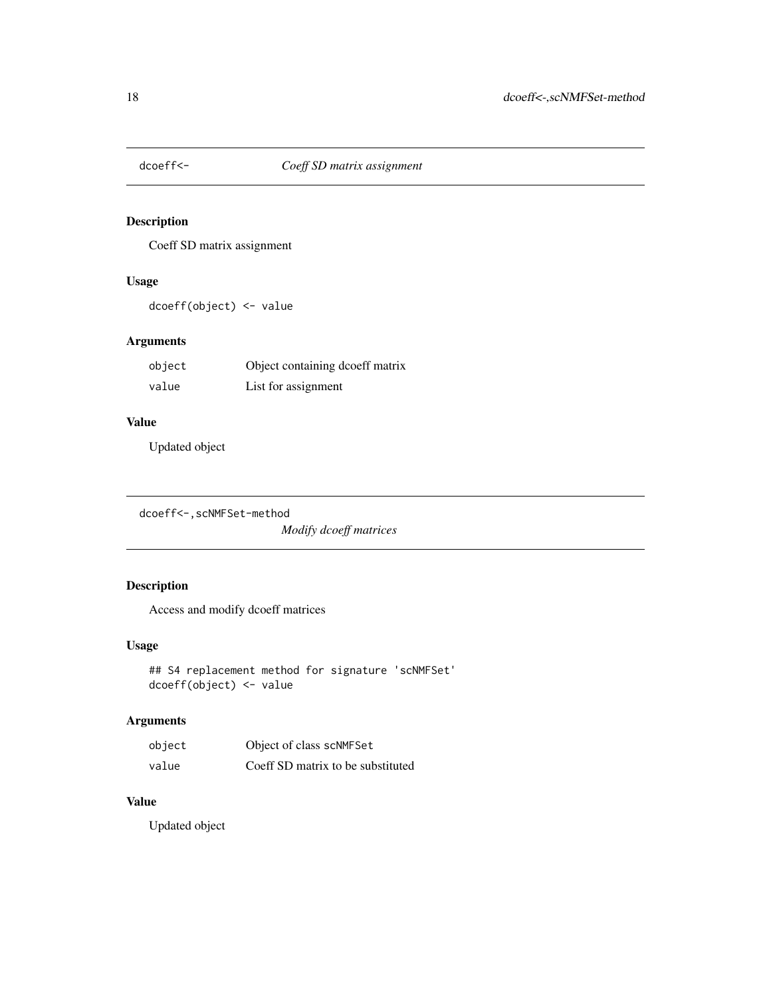<span id="page-17-0"></span>

Coeff SD matrix assignment

### Usage

dcoeff(object) <- value

### Arguments

| object | Object containing dcoeff matrix |
|--------|---------------------------------|
| value  | List for assignment             |

### Value

Updated object

```
dcoeff<-,scNMFSet-method
```
*Modify dcoeff matrices*

### Description

Access and modify dcoeff matrices

### Usage

```
## S4 replacement method for signature 'scNMFSet'
dcoeff(object) <- value
```
### Arguments

| object | Object of class scNMFSet          |
|--------|-----------------------------------|
| value  | Coeff SD matrix to be substituted |

### Value

Updated object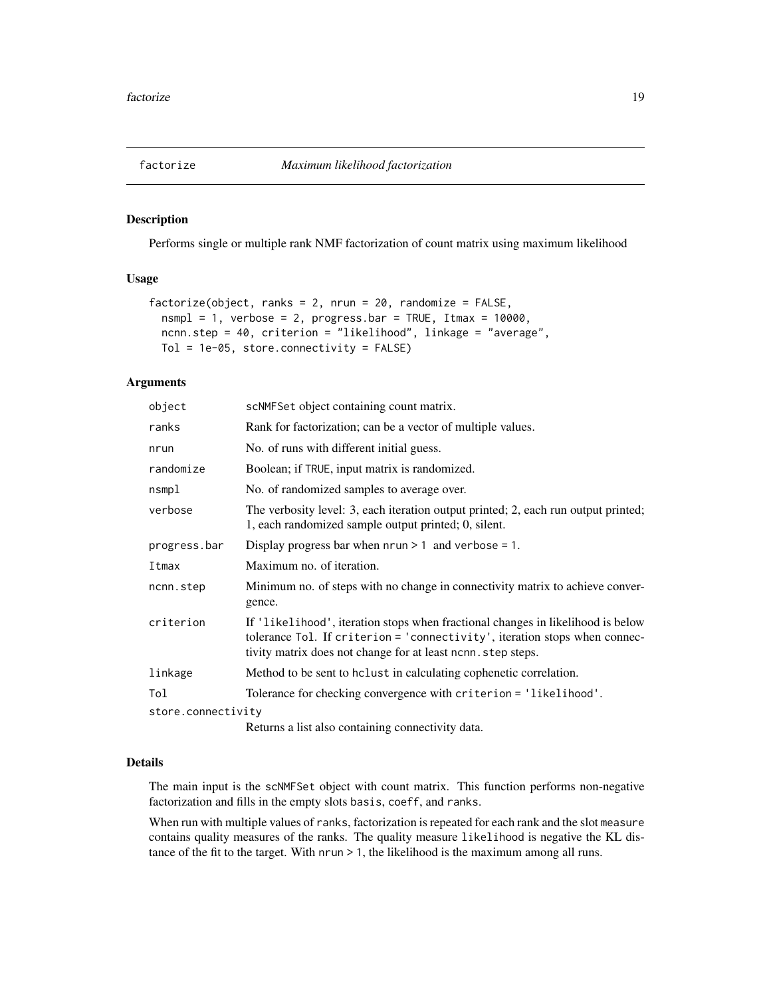<span id="page-18-1"></span><span id="page-18-0"></span>

Performs single or multiple rank NMF factorization of count matrix using maximum likelihood

### Usage

```
factorize(object, ranks = 2, nrun = 20, randomize = FALSE,
 nsmpl = 1, verbose = 2, progress.bar = TRUE, Itmax = 10000,
 ncnn.step = 40, criterion = "likelihood", linkage = "average",
 Tol = 1e-05, store.connectivity = FALSE)
```
### Arguments

| object             | scNMFSet object containing count matrix.                                                                                                                                                                                       |
|--------------------|--------------------------------------------------------------------------------------------------------------------------------------------------------------------------------------------------------------------------------|
| ranks              | Rank for factorization; can be a vector of multiple values.                                                                                                                                                                    |
| nrun               | No. of runs with different initial guess.                                                                                                                                                                                      |
| randomize          | Boolean; if TRUE, input matrix is randomized.                                                                                                                                                                                  |
| nsmpl              | No. of randomized samples to average over.                                                                                                                                                                                     |
| verbose            | The verbosity level: 3, each iteration output printed; 2, each run output printed;<br>1, each randomized sample output printed; 0, silent.                                                                                     |
| progress.bar       | Display progress bar when $nrun > 1$ and verbose = 1.                                                                                                                                                                          |
| Itmax              | Maximum no. of iteration.                                                                                                                                                                                                      |
| ncnn.step          | Minimum no. of steps with no change in connectivity matrix to achieve conver-<br>gence.                                                                                                                                        |
| criterion          | If 'likelihood', iteration stops when fractional changes in likelihood is below<br>tolerance Tol. If criterion = 'connectivity', iteration stops when connec-<br>tivity matrix does not change for at least nones, step steps. |
| linkage            | Method to be sent to holast in calculating cophenetic correlation.                                                                                                                                                             |
| Tol                | Tolerance for checking convergence with criterion = 'likelihood'.                                                                                                                                                              |
| store.connectivity |                                                                                                                                                                                                                                |
|                    | Returns a list also containing connectivity data.                                                                                                                                                                              |

#### Details

The main input is the scNMFSet object with count matrix. This function performs non-negative factorization and fills in the empty slots basis, coeff, and ranks.

When run with multiple values of ranks, factorization is repeated for each rank and the slot measure contains quality measures of the ranks. The quality measure likelihood is negative the KL distance of the fit to the target. With nrun > 1, the likelihood is the maximum among all runs.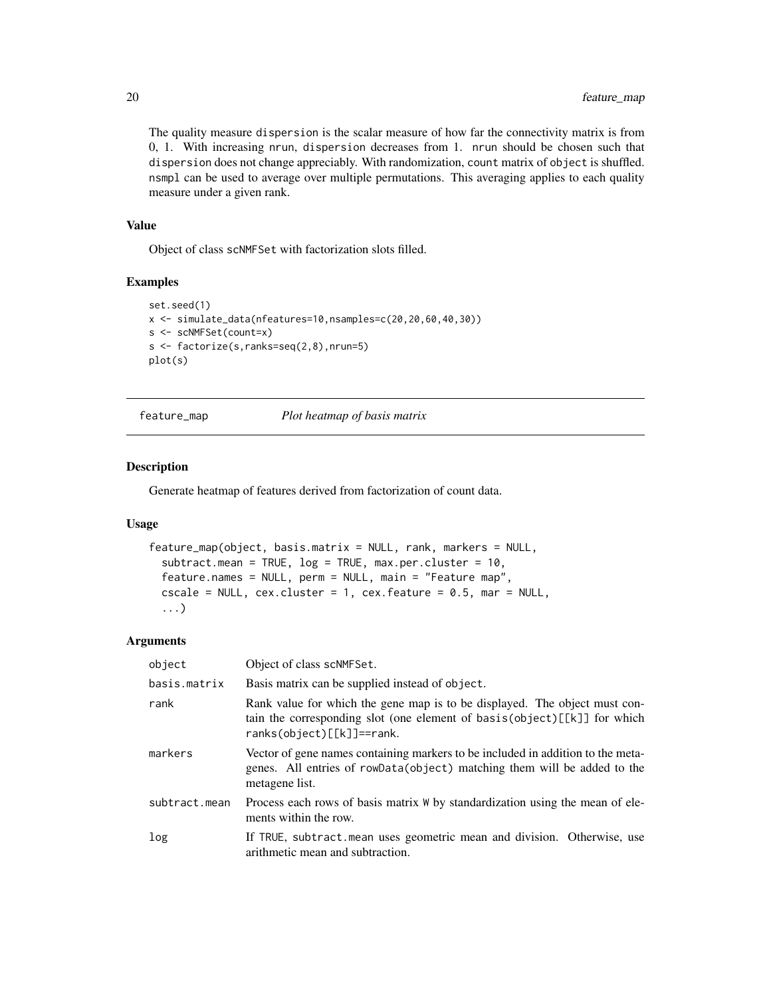The quality measure dispersion is the scalar measure of how far the connectivity matrix is from 0, 1. With increasing nrun, dispersion decreases from 1. nrun should be chosen such that dispersion does not change appreciably. With randomization, count matrix of object is shuffled. nsmpl can be used to average over multiple permutations. This averaging applies to each quality measure under a given rank.

#### Value

Object of class scNMFSet with factorization slots filled.

#### Examples

```
set.seed(1)
x <- simulate_data(nfeatures=10,nsamples=c(20,20,60,40,30))
s <- scNMFSet(count=x)
s <- factorize(s,ranks=seq(2,8),nrun=5)
plot(s)
```
feature\_map *Plot heatmap of basis matrix*

### Description

Generate heatmap of features derived from factorization of count data.

#### Usage

```
feature_map(object, basis.matrix = NULL, rank, markers = NULL,
  subtract.mean = TRUE, log = TRUE, max.per.cluster = 10,
 feature.names = NULL, perm = NULL, main = "Feature map",
  cscale = NULL, cex.cluster = 1, cex.feature = 0.5, mar = NULL,
  ...)
```
#### Arguments

| object        | Object of class scNMFSet.                                                                                                                                                               |  |
|---------------|-----------------------------------------------------------------------------------------------------------------------------------------------------------------------------------------|--|
| basis.matrix  | Basis matrix can be supplied instead of object.                                                                                                                                         |  |
| rank          | Rank value for which the gene map is to be displayed. The object must con-<br>tain the corresponding slot (one element of basis(object)[[k]] for which<br>$ranks(object)[[k]] == rank.$ |  |
| markers       | Vector of gene names containing markers to be included in addition to the meta-<br>genes. All entries of rowData(object) matching them will be added to the<br>metagene list.           |  |
| subtract.mean | Process each rows of basis matrix W by standardization using the mean of ele-<br>ments within the row.                                                                                  |  |
| log           | If TRUE, subtract mean uses geometric mean and division. Otherwise, use<br>arithmetic mean and subtraction.                                                                             |  |

<span id="page-19-0"></span>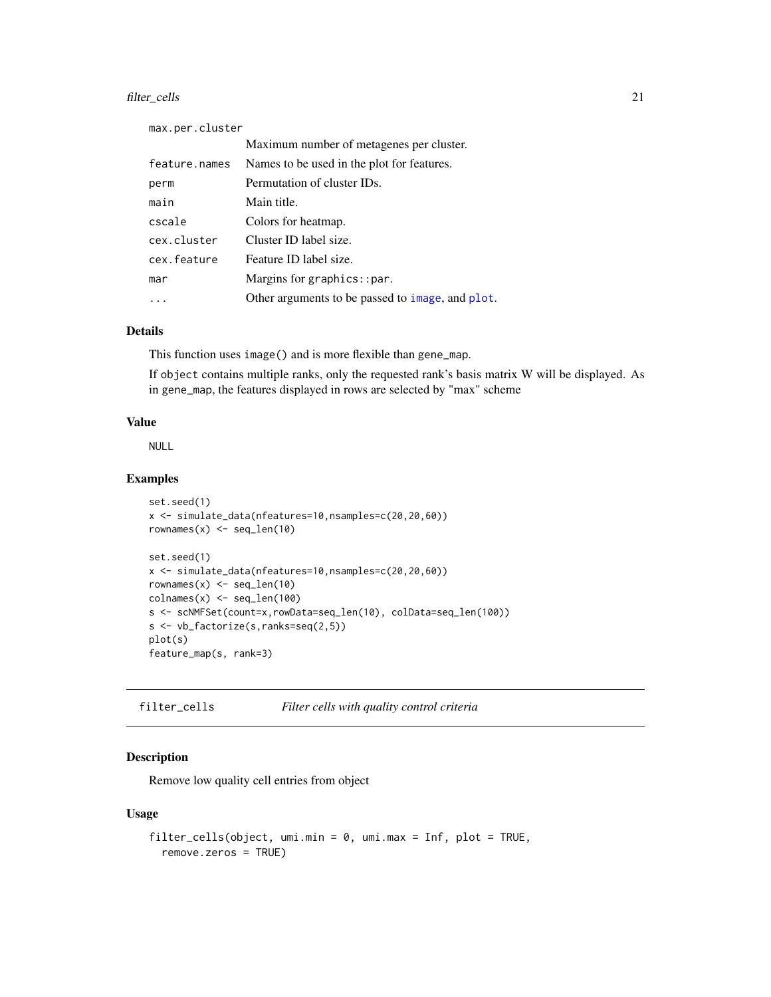### <span id="page-20-0"></span>filter\_cells 21

| max.per.cluster |                                                  |
|-----------------|--------------------------------------------------|
|                 | Maximum number of metagenes per cluster.         |
| feature.names   | Names to be used in the plot for features.       |
| perm            | Permutation of cluster IDs.                      |
| main            | Main title.                                      |
| cscale          | Colors for heatmap.                              |
| cex.cluster     | Cluster ID label size.                           |
| cex.feature     | Feature ID label size.                           |
| mar             | Margins for graphics:: $par.$                    |
|                 | Other arguments to be passed to image, and plot. |

### Details

This function uses image() and is more flexible than gene\_map.

If object contains multiple ranks, only the requested rank's basis matrix W will be displayed. As in gene\_map, the features displayed in rows are selected by "max" scheme

### Value

NULL

### Examples

```
set.seed(1)
x <- simulate_data(nfeatures=10,nsamples=c(20,20,60))
rownames(x) \leftarrow seq\_len(10)set.seed(1)
x <- simulate_data(nfeatures=10,nsamples=c(20,20,60))
rownames(x) \le seq_len(10)
\text{colnames}(x) \leq \text{seq\_len}(100)s <- scNMFSet(count=x,rowData=seq_len(10), colData=seq_len(100))
s <- vb_factorize(s,ranks=seq(2,5))
plot(s)
feature_map(s, rank=3)
```
filter\_cells *Filter cells with quality control criteria*

#### Description

Remove low quality cell entries from object

#### Usage

```
filter_cells(object, umi.min = 0, umi.max = Inf, plot = TRUE,
  remove.zeros = TRUE)
```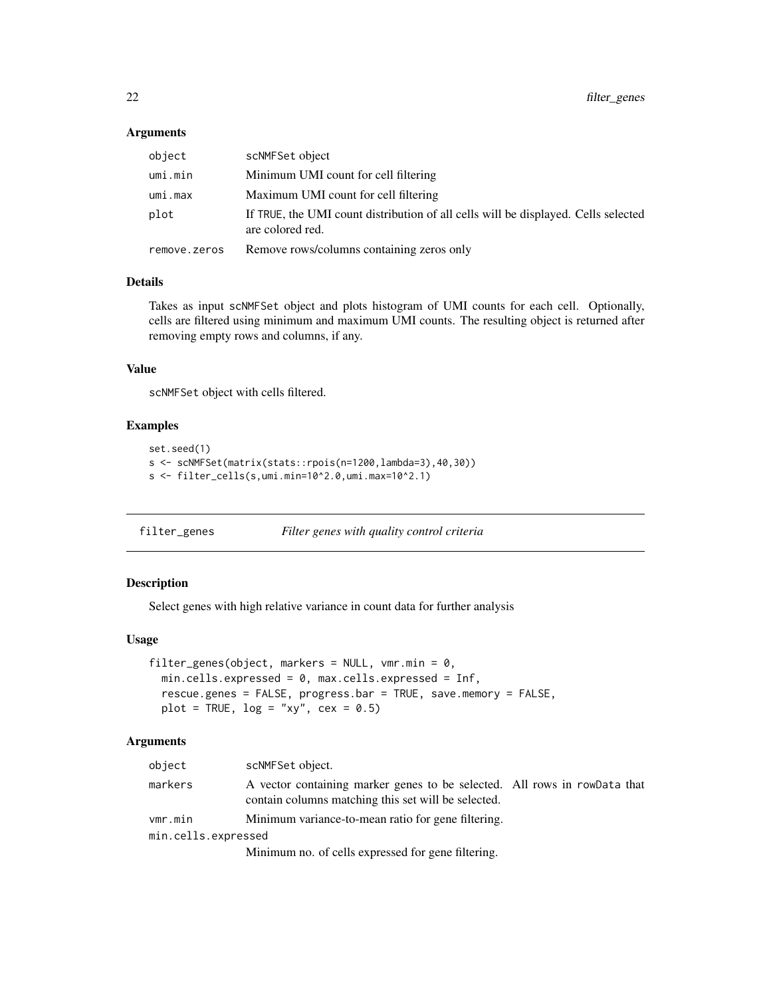#### <span id="page-21-0"></span>Arguments

| object       | scNMFSet object                                                                                        |
|--------------|--------------------------------------------------------------------------------------------------------|
| umi.min      | Minimum UMI count for cell filtering                                                                   |
| umi.max      | Maximum UMI count for cell filtering                                                                   |
| plot         | If TRUE, the UMI count distribution of all cells will be displayed. Cells selected<br>are colored red. |
| remove.zeros | Remove rows/columns containing zeros only                                                              |

#### Details

Takes as input scNMFSet object and plots histogram of UMI counts for each cell. Optionally, cells are filtered using minimum and maximum UMI counts. The resulting object is returned after removing empty rows and columns, if any.

### Value

scNMFSet object with cells filtered.

#### Examples

```
set.seed(1)
s <- scNMFSet(matrix(stats::rpois(n=1200,lambda=3),40,30))
s <- filter_cells(s,umi.min=10^2.0,umi.max=10^2.1)
```
<span id="page-21-1"></span>filter\_genes *Filter genes with quality control criteria*

### Description

Select genes with high relative variance in count data for further analysis

#### Usage

```
filter_genes(object, markers = NULL, vmr.min = 0,
 min.cells.expressed = 0, max.cells.expressed = Inf,
 rescue.genes = FALSE, progress.bar = TRUE, save.memory = FALSE,
 plot = TRUE, log = "xy", cex = 0.5)
```
### Arguments

| object              | scNMFSet object.                                                                                                                 |  |  |
|---------------------|----------------------------------------------------------------------------------------------------------------------------------|--|--|
| markers             | A vector containing marker genes to be selected. All rows in rowData that<br>contain columns matching this set will be selected. |  |  |
| vmr.min             | Minimum variance-to-mean ratio for gene filtering.                                                                               |  |  |
| min.cells.expressed |                                                                                                                                  |  |  |
|                     | Minimum no. of cells expressed for gene filtering.                                                                               |  |  |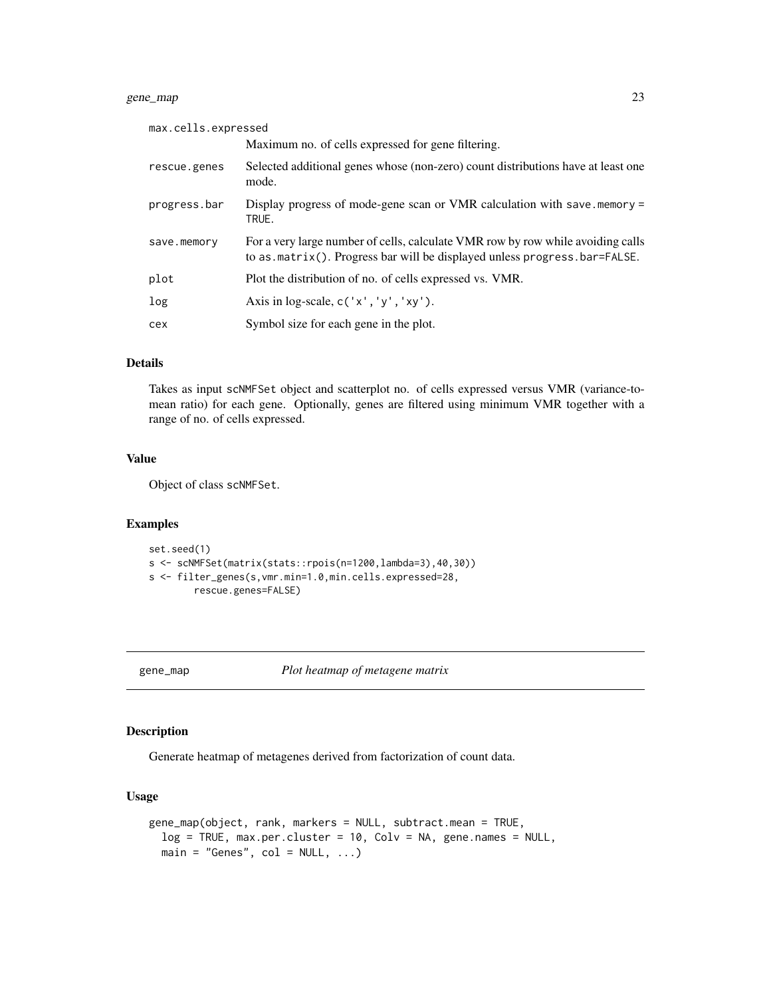### <span id="page-22-0"></span>gene\_map 23

| max.cells.expressed |                                                                                                                                                              |
|---------------------|--------------------------------------------------------------------------------------------------------------------------------------------------------------|
|                     | Maximum no. of cells expressed for gene filtering.                                                                                                           |
| rescue.genes        | Selected additional genes whose (non-zero) count distributions have at least one<br>mode.                                                                    |
| progress.bar        | Display progress of mode-gene scan or VMR calculation with save. memory $=$<br>TRUE.                                                                         |
| save.memory         | For a very large number of cells, calculate VMR row by row while avoiding calls<br>to as matrix(). Progress bar will be displayed unless progress bar=FALSE. |
| plot                | Plot the distribution of no. of cells expressed vs. VMR.                                                                                                     |
| log                 | Axis in log-scale, $c('x', 'y', 'xy')$ .                                                                                                                     |
| cex                 | Symbol size for each gene in the plot.                                                                                                                       |

### Details

Takes as input scNMFSet object and scatterplot no. of cells expressed versus VMR (variance-tomean ratio) for each gene. Optionally, genes are filtered using minimum VMR together with a range of no. of cells expressed.

### Value

Object of class scNMFSet.

### Examples

```
set.seed(1)
s <- scNMFSet(matrix(stats::rpois(n=1200,lambda=3),40,30))
s <- filter_genes(s,vmr.min=1.0,min.cells.expressed=28,
        rescue.genes=FALSE)
```
gene\_map *Plot heatmap of metagene matrix*

#### Description

Generate heatmap of metagenes derived from factorization of count data.

### Usage

```
gene_map(object, rank, markers = NULL, subtract.mean = TRUE,
  log = TRUE, max.per.cluster = 10, Colv = NA, gene.names = NULL,
 main = "Genes", col = NULL, ...)
```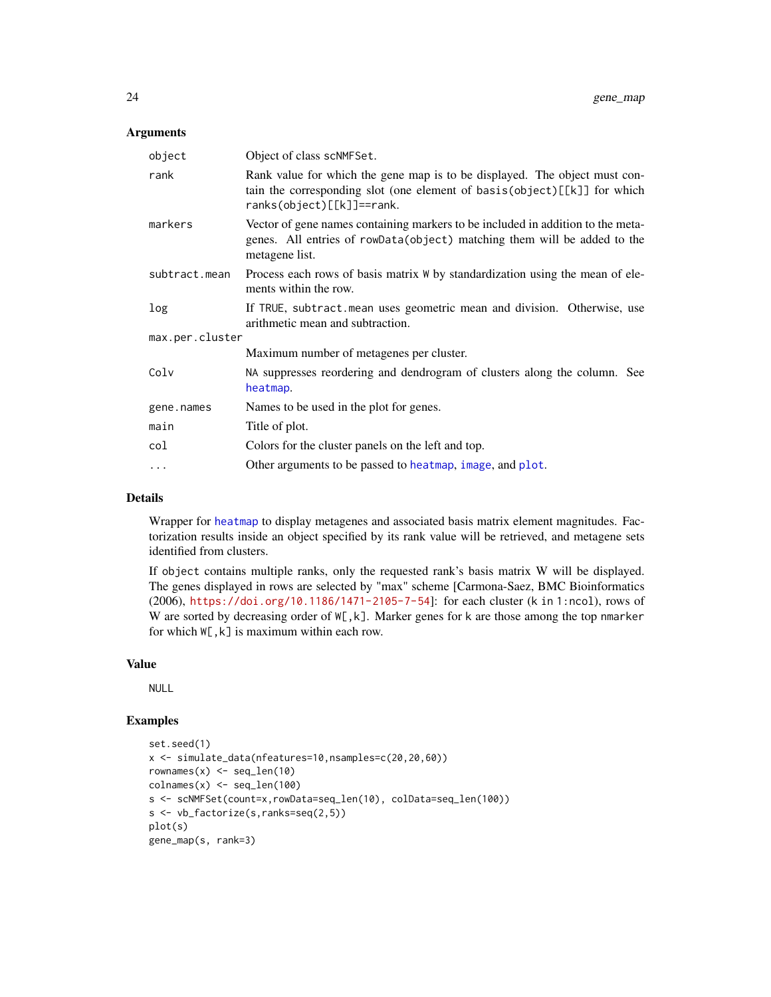#### <span id="page-23-0"></span>Arguments

| object          | Object of class scNMFSet.                                                                                                                                                           |
|-----------------|-------------------------------------------------------------------------------------------------------------------------------------------------------------------------------------|
| rank            | Rank value for which the gene map is to be displayed. The object must con-<br>tain the corresponding slot (one element of basis(object)[[k]] for which<br>ranks(object)[[k]]==rank. |
| markers         | Vector of gene names containing markers to be included in addition to the meta-<br>genes. All entries of rowData(object) matching them will be added to the<br>metagene list.       |
| subtract.mean   | Process each rows of basis matrix $W$ by standardization using the mean of ele-<br>ments within the row.                                                                            |
| log             | If TRUE, subtract mean uses geometric mean and division. Otherwise, use<br>arithmetic mean and subtraction.                                                                         |
| max.per.cluster |                                                                                                                                                                                     |
|                 | Maximum number of metagenes per cluster.                                                                                                                                            |
| Colv            | NA suppresses reordering and dendrogram of clusters along the column. See<br>heatmap.                                                                                               |
| gene.names      | Names to be used in the plot for genes.                                                                                                                                             |
| main            | Title of plot.                                                                                                                                                                      |
| col             | Colors for the cluster panels on the left and top.                                                                                                                                  |
| $\cdots$        | Other arguments to be passed to heatmap, image, and plot.                                                                                                                           |

#### Details

Wrapper for [heatmap](#page-0-0) to display metagenes and associated basis matrix element magnitudes. Factorization results inside an object specified by its rank value will be retrieved, and metagene sets identified from clusters.

If object contains multiple ranks, only the requested rank's basis matrix W will be displayed. The genes displayed in rows are selected by "max" scheme [Carmona-Saez, BMC Bioinformatics (2006), <https://doi.org/10.1186/1471-2105-7-54>]: for each cluster (k in 1:ncol), rows of W are sorted by decreasing order of  $W[k,k]$ . Marker genes for k are those among the top nmarker for which W[,k] is maximum within each row.

### Value

NULL

```
set.seed(1)
x <- simulate_data(nfeatures=10,nsamples=c(20,20,60))
rownames(x) <- seq_len(10)
\text{colnames}(x) \leq \text{seq\_len}(100)s <- scNMFSet(count=x,rowData=seq_len(10), colData=seq_len(100))
s <- vb_factorize(s,ranks=seq(2,5))
plot(s)
gene_map(s, rank=3)
```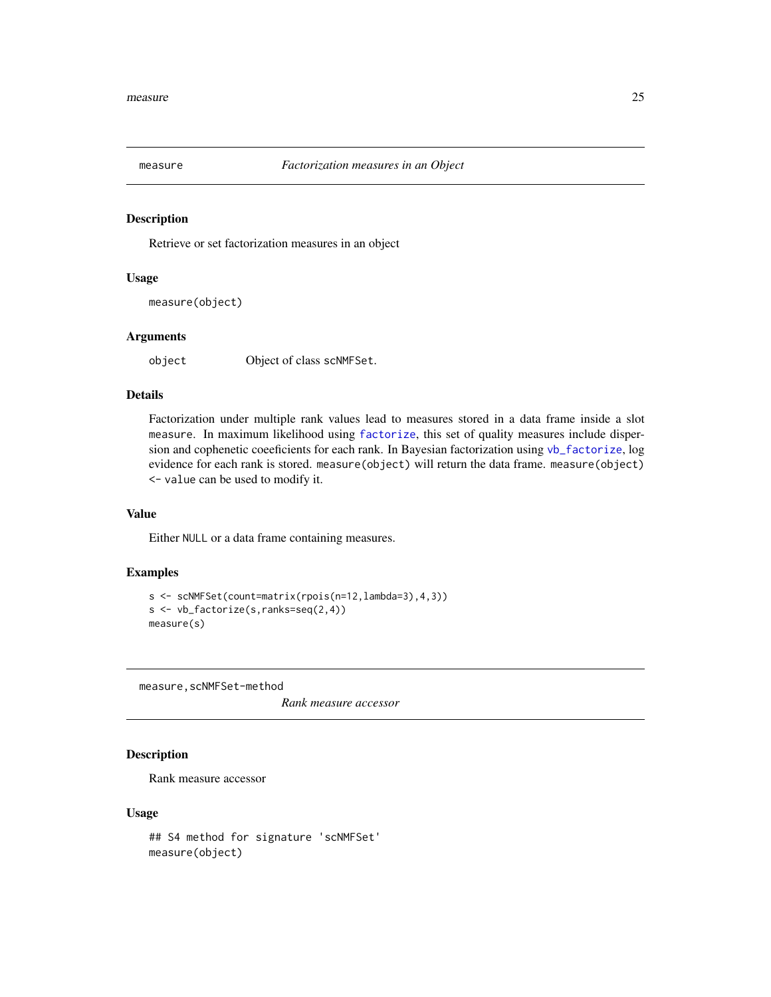<span id="page-24-0"></span>

Retrieve or set factorization measures in an object

#### Usage

```
measure(object)
```
### Arguments

object Object of class scNMFSet.

### Details

Factorization under multiple rank values lead to measures stored in a data frame inside a slot measure. In maximum likelihood using [factorize](#page-18-1), this set of quality measures include dispersion and cophenetic coeeficients for each rank. In Bayesian factorization using [vb\\_factorize](#page-42-1), log evidence for each rank is stored. measure(object) will return the data frame. measure(object) <- value can be used to modify it.

#### Value

Either NULL or a data frame containing measures.

#### Examples

```
s <- scNMFSet(count=matrix(rpois(n=12,lambda=3),4,3))
s <- vb_factorize(s,ranks=seq(2,4))
measure(s)
```
measure,scNMFSet-method

*Rank measure accessor*

### Description

Rank measure accessor

#### Usage

```
## S4 method for signature 'scNMFSet'
measure(object)
```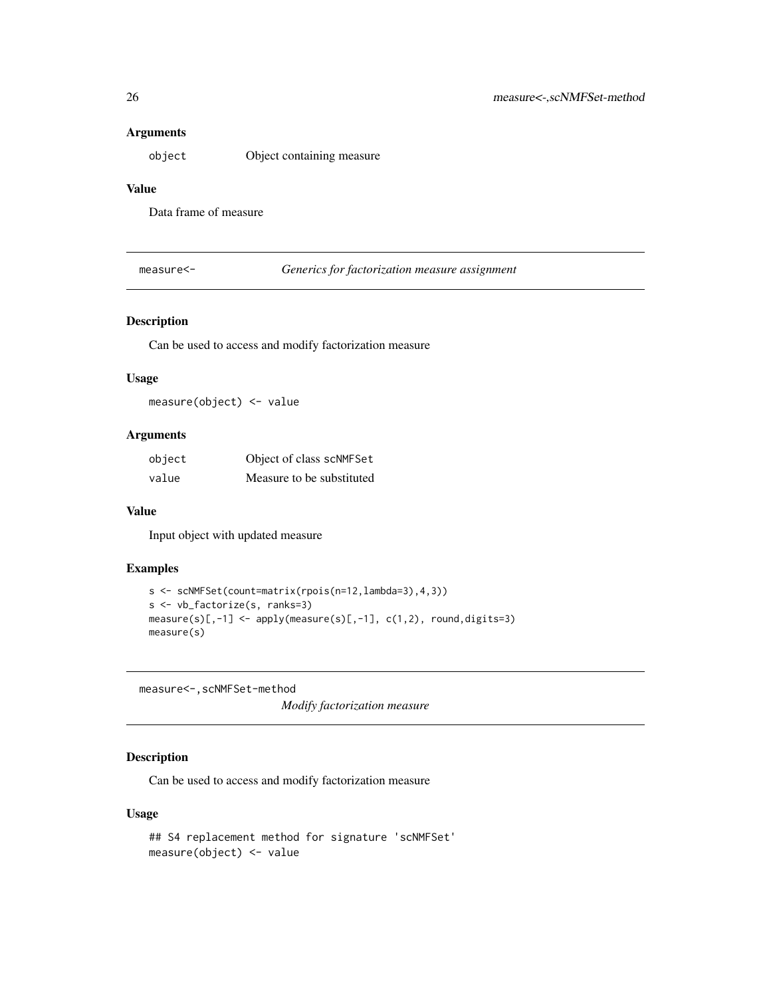### <span id="page-25-0"></span>Arguments

object Object containing measure

### Value

Data frame of measure

measure<- *Generics for factorization measure assignment*

#### Description

Can be used to access and modify factorization measure

#### Usage

measure(object) <- value

### Arguments

| object | Object of class scNMFSet  |
|--------|---------------------------|
| value  | Measure to be substituted |

#### Value

Input object with updated measure

### Examples

```
s <- scNMFSet(count=matrix(rpois(n=12,lambda=3),4,3))
s <- vb_factorize(s, ranks=3)
measure(s)[,-1] \leftarrow apply(measure(s)[,-1], c(1,2), round, digits=3)measure(s)
```
measure<-,scNMFSet-method

*Modify factorization measure*

### Description

Can be used to access and modify factorization measure

#### Usage

```
## S4 replacement method for signature 'scNMFSet'
measure(object) <- value
```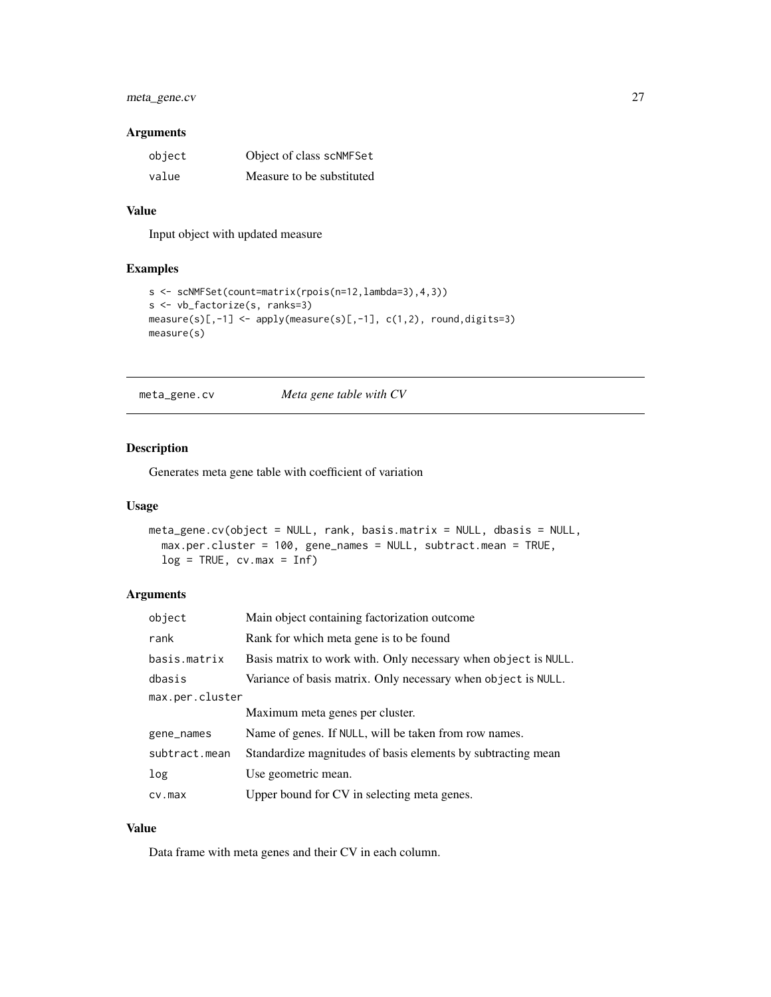### <span id="page-26-0"></span>meta\_gene.cv 27

### Arguments

| object | Object of class scNMFSet  |
|--------|---------------------------|
| value  | Measure to be substituted |

### Value

Input object with updated measure

### Examples

```
s <- scNMFSet(count=matrix(rpois(n=12,lambda=3),4,3))
s <- vb_factorize(s, ranks=3)
measure(s)[,-1] \leftarrow apply(measure(s)[,-1], c(1,2), round, digits=3)measure(s)
```
<span id="page-26-1"></span>meta\_gene.cv *Meta gene table with CV*

#### Description

Generates meta gene table with coefficient of variation

### Usage

```
meta_gene.cv(object = NULL, rank, basis.matrix = NULL, dbasis = NULL,
 max.per.cluster = 100, gene_names = NULL, subtract.mean = TRUE,
 log = TRUE, cv.max = Inf)
```
#### Arguments

| object          | Main object containing factorization outcome.                  |
|-----------------|----------------------------------------------------------------|
| rank            | Rank for which meta gene is to be found                        |
| basis.matrix    | Basis matrix to work with. Only necessary when object is NULL. |
| dbasis          | Variance of basis matrix. Only necessary when object is NULL.  |
| max.per.cluster |                                                                |
|                 | Maximum meta genes per cluster.                                |
| gene_names      | Name of genes. If NULL, will be taken from row names.          |
| subtract.mean   | Standardize magnitudes of basis elements by subtracting mean   |
| log             | Use geometric mean.                                            |
| cv.max          | Upper bound for CV in selecting meta genes.                    |

### Value

Data frame with meta genes and their CV in each column.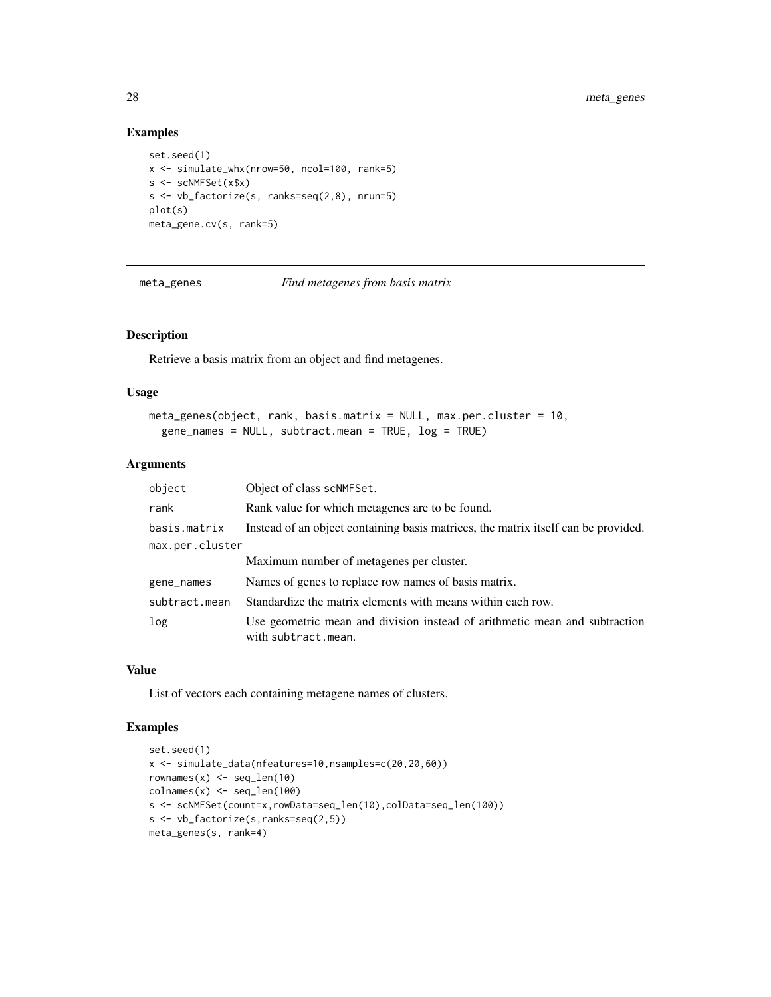### Examples

```
set.seed(1)
x <- simulate_whx(nrow=50, ncol=100, rank=5)
s <- scNMFSet(x$x)
s <- vb_factorize(s, ranks=seq(2,8), nrun=5)
plot(s)
meta_gene.cv(s, rank=5)
```
meta\_genes *Find metagenes from basis matrix*

#### Description

Retrieve a basis matrix from an object and find metagenes.

#### Usage

```
meta_genes(object, rank, basis.matrix = NULL, max.per.cluster = 10,
  gene_names = NULL, subtract.mean = TRUE, log = TRUE)
```
### Arguments

| object          | Object of class scNMFSet.                                                                         |
|-----------------|---------------------------------------------------------------------------------------------------|
| rank            | Rank value for which metagenes are to be found.                                                   |
| basis.matrix    | Instead of an object containing basis matrices, the matrix itself can be provided.                |
| max.per.cluster |                                                                                                   |
|                 | Maximum number of metagenes per cluster.                                                          |
| gene_names      | Names of genes to replace row names of basis matrix.                                              |
| subtract.mean   | Standardize the matrix elements with means within each row.                                       |
| log             | Use geometric mean and division instead of arithmetic mean and subtraction<br>with subtract.mean. |

### Value

List of vectors each containing metagene names of clusters.

```
set.seed(1)
x <- simulate_data(nfeatures=10,nsamples=c(20,20,60))
rownames(x) <- seq_len(10)
\text{colnames}(x) \leq \text{seq\_len}(100)s <- scNMFSet(count=x,rowData=seq_len(10),colData=seq_len(100))
s <- vb_factorize(s,ranks=seq(2,5))
meta_genes(s, rank=4)
```
<span id="page-27-0"></span>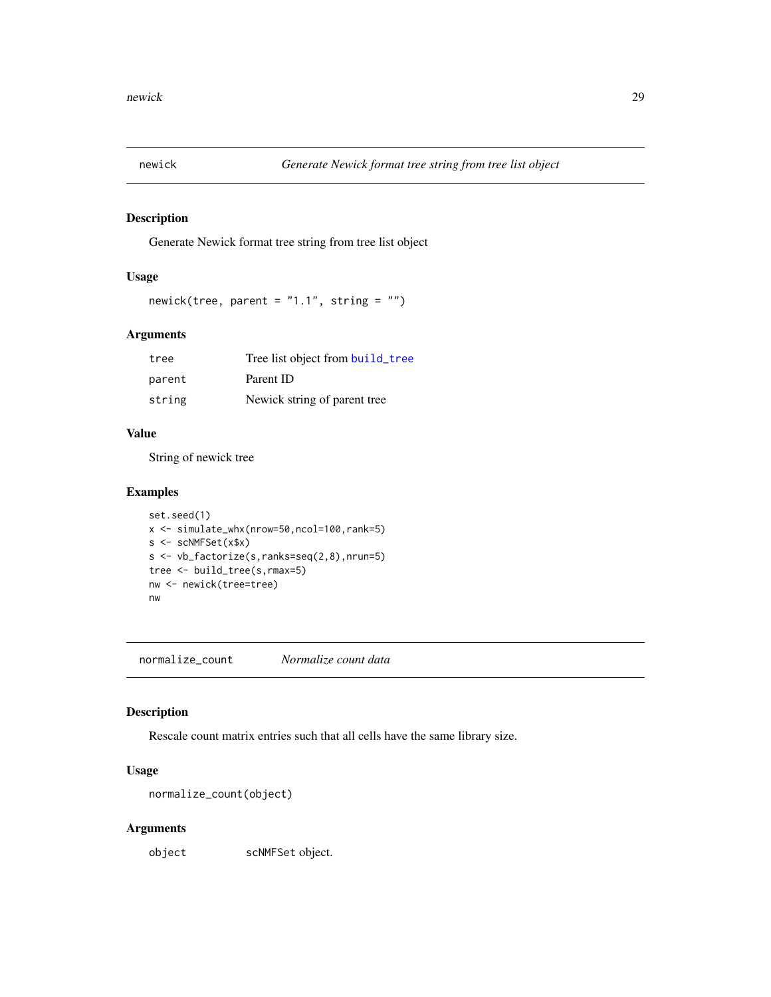<span id="page-28-0"></span>

Generate Newick format tree string from tree list object

### Usage

newick(tree, parent = "1.1", string = "")

### Arguments

| tree   | Tree list object from build_tree |
|--------|----------------------------------|
| parent | Parent ID                        |
| string | Newick string of parent tree     |

#### Value

String of newick tree

### Examples

```
set.seed(1)
x <- simulate_whx(nrow=50,ncol=100,rank=5)
s <- scNMFSet(x$x)
s <- vb_factorize(s,ranks=seq(2,8),nrun=5)
tree <- build_tree(s,rmax=5)
nw <- newick(tree=tree)
nw
```
normalize\_count *Normalize count data*

### Description

Rescale count matrix entries such that all cells have the same library size.

### Usage

```
normalize_count(object)
```
### Arguments

object scNMFSet object.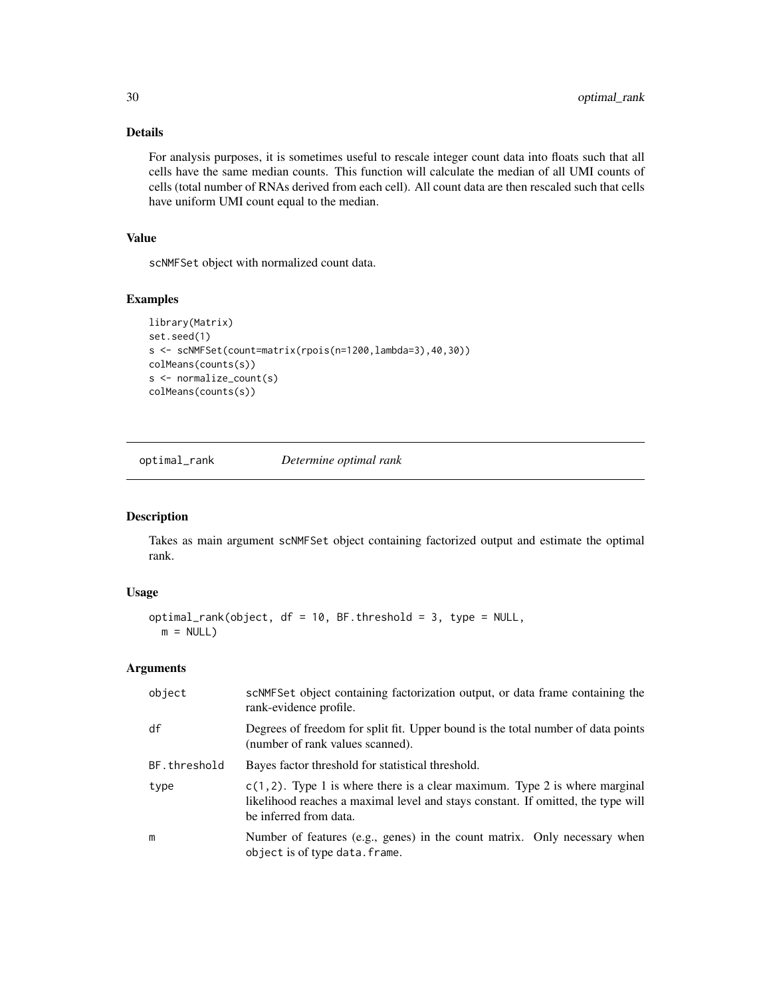### Details

For analysis purposes, it is sometimes useful to rescale integer count data into floats such that all cells have the same median counts. This function will calculate the median of all UMI counts of cells (total number of RNAs derived from each cell). All count data are then rescaled such that cells have uniform UMI count equal to the median.

### Value

scNMFSet object with normalized count data.

### Examples

```
library(Matrix)
set.seed(1)
s <- scNMFSet(count=matrix(rpois(n=1200,lambda=3),40,30))
colMeans(counts(s))
s <- normalize_count(s)
colMeans(counts(s))
```
optimal\_rank *Determine optimal rank*

### Description

Takes as main argument scNMFSet object containing factorized output and estimate the optimal rank.

#### Usage

```
optimal_rank(object, df = 10, BF.threshold = 3, type = NULL,
 m = NULL
```
#### Arguments

| object       | scNMFSet object containing factorization output, or data frame containing the<br>rank-evidence profile.                                                                                      |
|--------------|----------------------------------------------------------------------------------------------------------------------------------------------------------------------------------------------|
| df           | Degrees of freedom for split fit. Upper bound is the total number of data points<br>(number of rank values scanned).                                                                         |
| BF.threshold | Bayes factor threshold for statistical threshold.                                                                                                                                            |
| type         | $c(1, 2)$ . Type 1 is where there is a clear maximum. Type 2 is where marginal<br>likelihood reaches a maximal level and stays constant. If omitted, the type will<br>be inferred from data. |
| m            | Number of features (e.g., genes) in the count matrix. Only necessary when<br>object is of type data. frame.                                                                                  |

<span id="page-29-0"></span>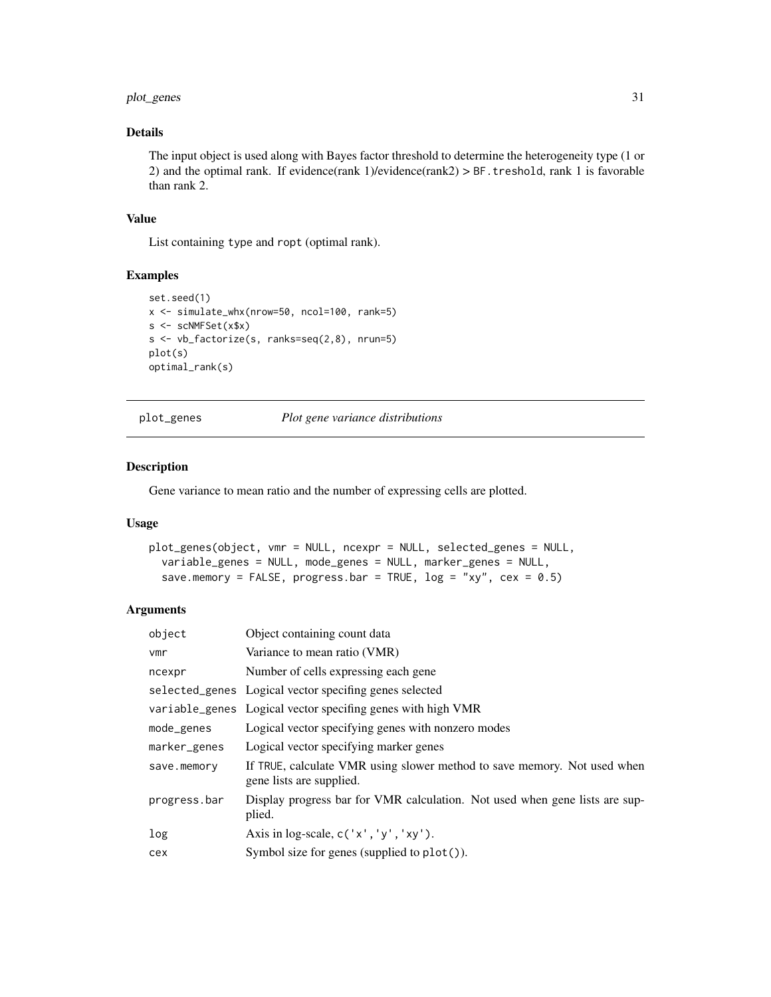### <span id="page-30-0"></span>plot\_genes 31

### Details

The input object is used along with Bayes factor threshold to determine the heterogeneity type (1 or 2) and the optimal rank. If evidence(rank 1)/evidence(rank2) > BF.treshold, rank 1 is favorable than rank 2.

#### Value

List containing type and ropt (optimal rank).

#### Examples

```
set.seed(1)
x <- simulate_whx(nrow=50, ncol=100, rank=5)
s <- scNMFSet(x$x)
s <- vb_factorize(s, ranks=seq(2,8), nrun=5)
plot(s)
optimal_rank(s)
```
plot\_genes *Plot gene variance distributions*

### Description

Gene variance to mean ratio and the number of expressing cells are plotted.

#### Usage

```
plot_genes(object, vmr = NULL, ncexpr = NULL, selected_genes = NULL,
  variable_genes = NULL, mode_genes = NULL, marker_genes = NULL,
  save.memory = FALSE, progress.bar = TRUE, log = "xy", cex = 0.5)
```
### Arguments

| object       | Object containing count data                                                                         |
|--------------|------------------------------------------------------------------------------------------------------|
| vmr          | Variance to mean ratio (VMR)                                                                         |
| ncexpr       | Number of cells expressing each gene                                                                 |
|              | selected_genes Logical vector specifing genes selected                                               |
|              | variable_genes Logical vector specifing genes with high VMR                                          |
| mode_genes   | Logical vector specifying genes with nonzero modes                                                   |
| marker_genes | Logical vector specifying marker genes                                                               |
| save.memory  | If TRUE, calculate VMR using slower method to save memory. Not used when<br>gene lists are supplied. |
| progress.bar | Display progress bar for VMR calculation. Not used when gene lists are sup-<br>plied.                |
| log          | Axis in log-scale, $c('x', 'y', 'xy')$ .                                                             |
| cex          | Symbol size for genes (supplied to $plot()$ ).                                                       |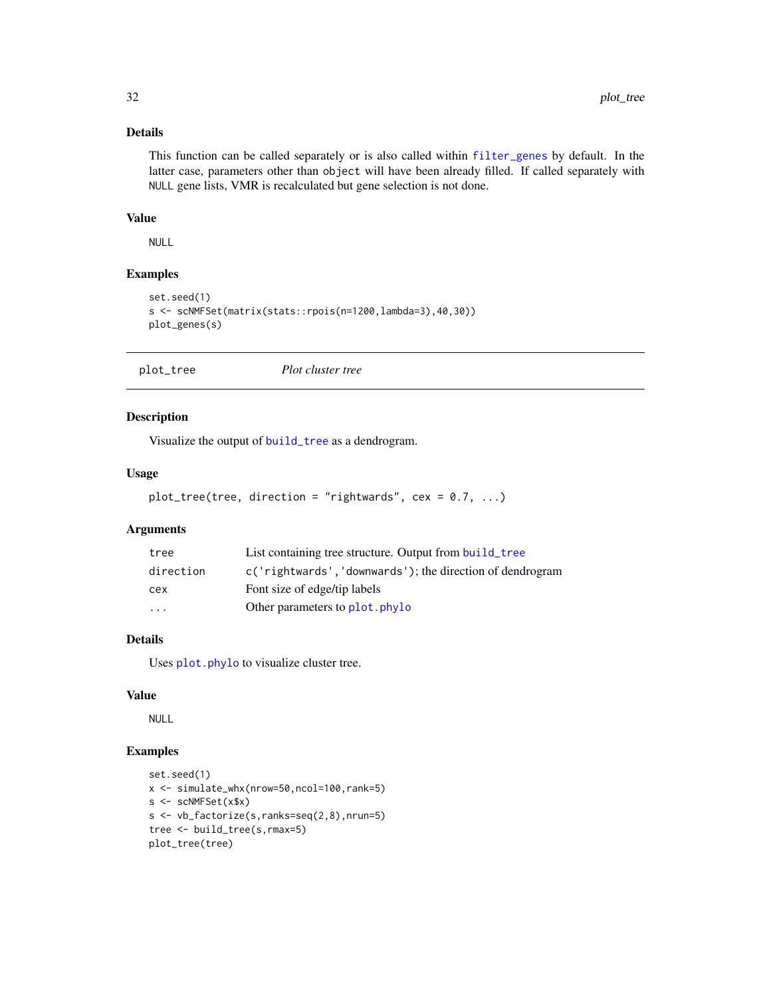### Details

This function can be called separately or is also called within [filter\\_genes](#page-21-1) by default. In the latter case, parameters other than object will have been already filled. If called separately with NULL gene lists, VMR is recalculated but gene selection is not done.

#### Value

NULL

### Examples

```
set.seed(1)
s <- scNMFSet(matrix(stats::rpois(n=1200,lambda=3),40,30))
plot_genes(s)
```

| plot_tree | Plot cluster tree |
|-----------|-------------------|
|-----------|-------------------|

### Description

Visualize the output of [build\\_tree](#page-6-1) as a dendrogram.

#### Usage

```
plot\_tree(tree, direction = "rightwards", cex = 0.7, ...)
```
### Arguments

| tree      | List containing tree structure. Output from build_tree    |
|-----------|-----------------------------------------------------------|
| direction | c('rightwards', 'downwards'); the direction of dendrogram |
| cex       | Font size of edge/tip labels                              |
| $\cdots$  | Other parameters to plot. phylo                           |

### Details

Uses [plot.phylo](#page-0-0) to visualize cluster tree.

### Value

NULL

```
set.seed(1)
x <- simulate_whx(nrow=50,ncol=100,rank=5)
s <- scNMFSet(x$x)
s <- vb_factorize(s,ranks=seq(2,8),nrun=5)
tree <- build_tree(s,rmax=5)
plot_tree(tree)
```
<span id="page-31-0"></span>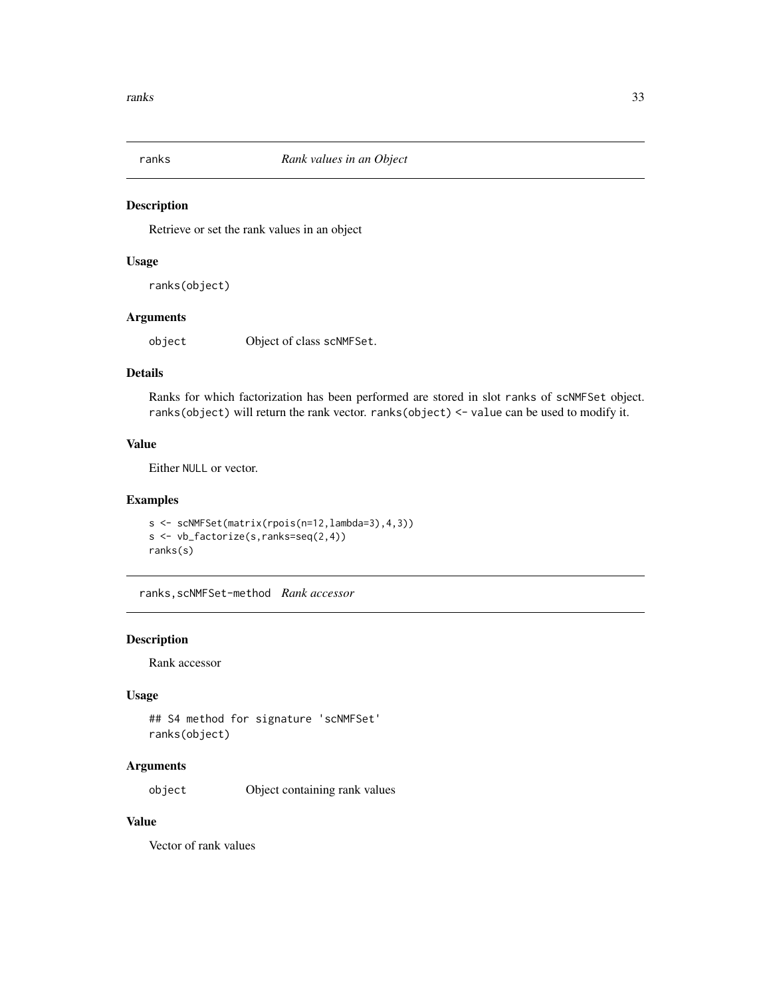<span id="page-32-0"></span>

Retrieve or set the rank values in an object

#### Usage

ranks(object)

### Arguments

object Object of class scNMFSet.

### Details

Ranks for which factorization has been performed are stored in slot ranks of scNMFSet object. ranks(object) will return the rank vector. ranks(object) <- value can be used to modify it.

### Value

Either NULL or vector.

#### Examples

```
s <- scNMFSet(matrix(rpois(n=12,lambda=3),4,3))
s <- vb_factorize(s,ranks=seq(2,4))
ranks(s)
```
ranks,scNMFSet-method *Rank accessor*

#### Description

Rank accessor

#### Usage

```
## S4 method for signature 'scNMFSet'
ranks(object)
```
#### Arguments

object Object containing rank values

### Value

Vector of rank values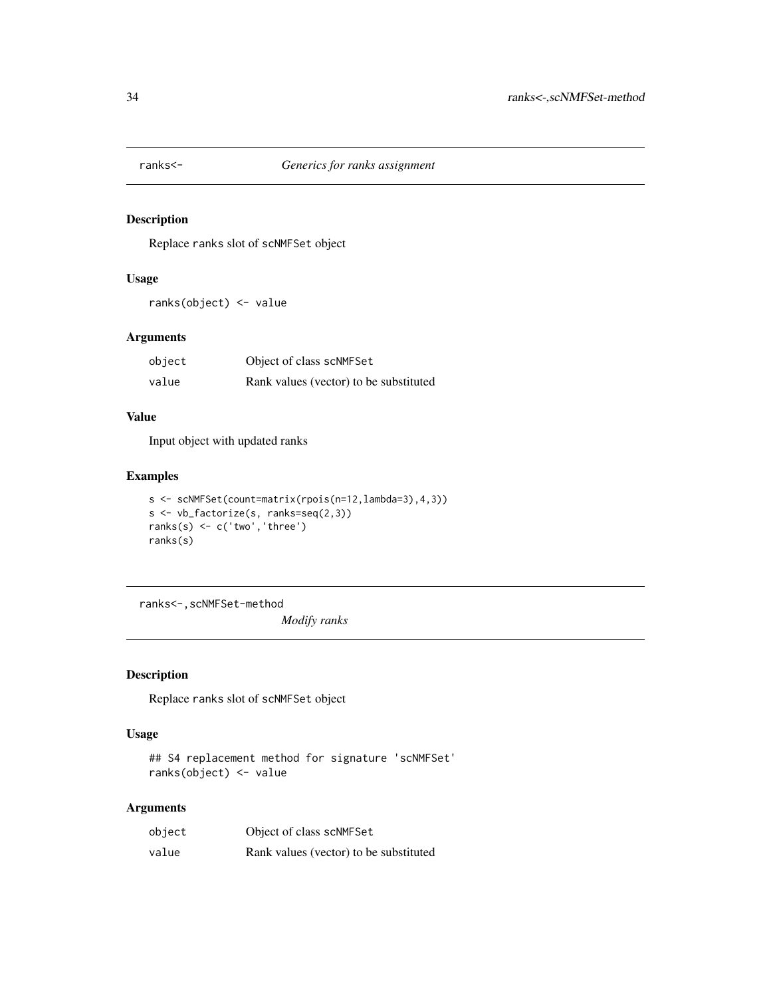<span id="page-33-0"></span>

Replace ranks slot of scNMFSet object

### Usage

ranks(object) <- value

### Arguments

| object | Object of class scNMFSet               |
|--------|----------------------------------------|
| value  | Rank values (vector) to be substituted |

### Value

Input object with updated ranks

### Examples

```
s <- scNMFSet(count=matrix(rpois(n=12,lambda=3),4,3))
s <- vb_factorize(s, ranks=seq(2,3))
ranks(s) <- c('two','three')
ranks(s)
```
ranks<-,scNMFSet-method

*Modify ranks*

### Description

Replace ranks slot of scNMFSet object

### Usage

```
## S4 replacement method for signature 'scNMFSet'
ranks(object) <- value
```
### Arguments

| object | Object of class scNMFSet               |
|--------|----------------------------------------|
| value  | Rank values (vector) to be substituted |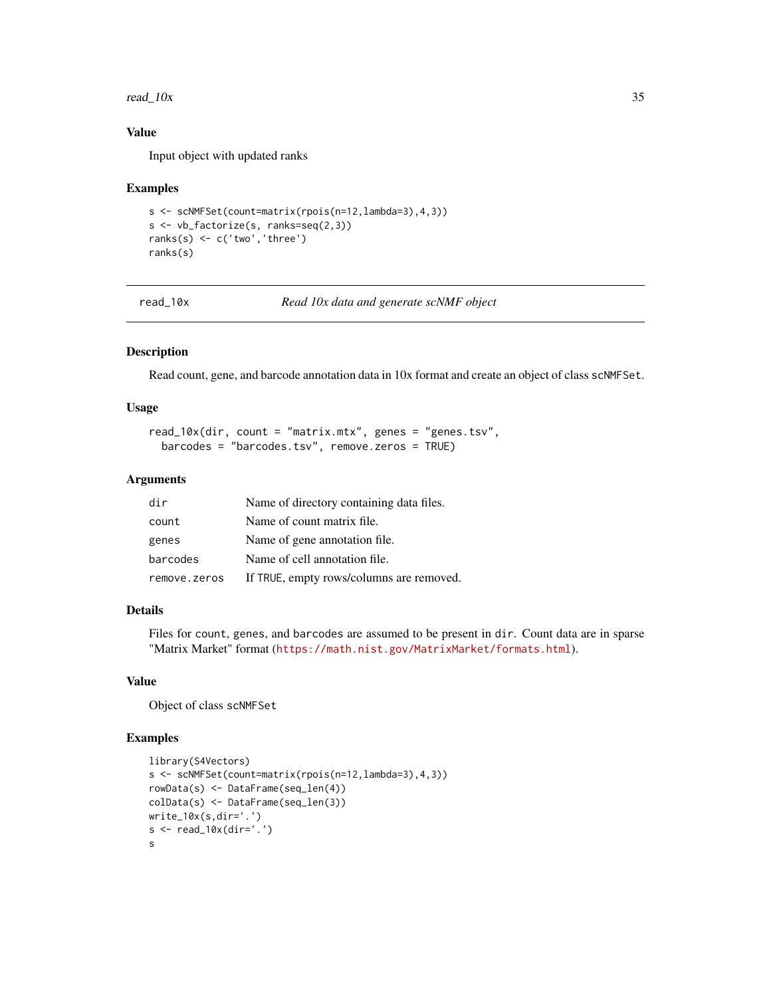#### <span id="page-34-0"></span>read\_ $10x$  35

### Value

Input object with updated ranks

#### Examples

```
s <- scNMFSet(count=matrix(rpois(n=12,lambda=3),4,3))
s <- vb_factorize(s, ranks=seq(2,3))
ranks(s) <- c('two','three')
ranks(s)
```
read\_10x *Read 10x data and generate scNMF object*

### Description

Read count, gene, and barcode annotation data in 10x format and create an object of class scNMFSet.

#### Usage

```
read_10x(dir, count = "matrix.mtx", genes = "genes.tsv",
 barcodes = "barcodes.tsv", remove.zeros = TRUE)
```
### Arguments

| dir          | Name of directory containing data files. |
|--------------|------------------------------------------|
| count        | Name of count matrix file.               |
| genes        | Name of gene annotation file.            |
| barcodes     | Name of cell annotation file.            |
| remove.zeros | If TRUE, empty rows/columns are removed. |

### Details

Files for count, genes, and barcodes are assumed to be present in dir. Count data are in sparse "Matrix Market" format (<https://math.nist.gov/MatrixMarket/formats.html>).

#### Value

Object of class scNMFSet

```
library(S4Vectors)
s <- scNMFSet(count=matrix(rpois(n=12,lambda=3),4,3))
rowData(s) <- DataFrame(seq_len(4))
colData(s) <- DataFrame(seq_len(3))
write_10x(s,dir='.')
s <- read_10x(dir='.')
s
```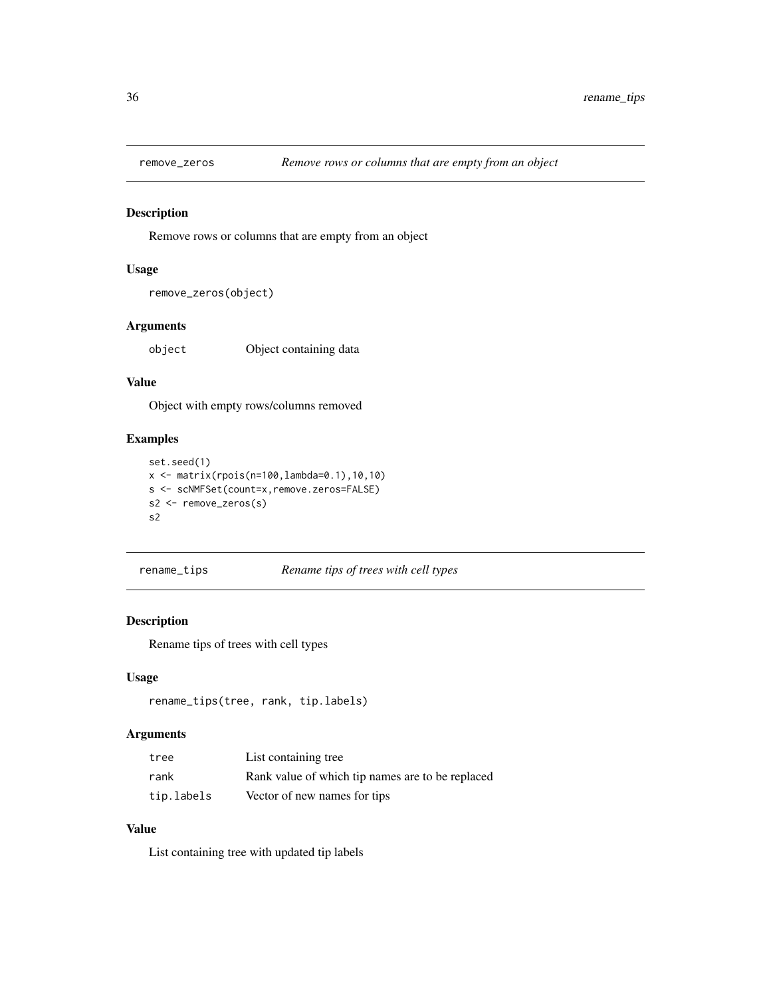<span id="page-35-0"></span>

Remove rows or columns that are empty from an object

### Usage

```
remove_zeros(object)
```
### Arguments

object Object containing data

### Value

Object with empty rows/columns removed

### Examples

```
set.seed(1)
x <- matrix(rpois(n=100,lambda=0.1),10,10)
s <- scNMFSet(count=x,remove.zeros=FALSE)
s2 <- remove_zeros(s)
s2
```
rename\_tips *Rename tips of trees with cell types*

### Description

Rename tips of trees with cell types

### Usage

```
rename_tips(tree, rank, tip.labels)
```
#### Arguments

| tree       | List containing tree.                            |
|------------|--------------------------------------------------|
| rank       | Rank value of which tip names are to be replaced |
| tip.labels | Vector of new names for tips                     |

### Value

List containing tree with updated tip labels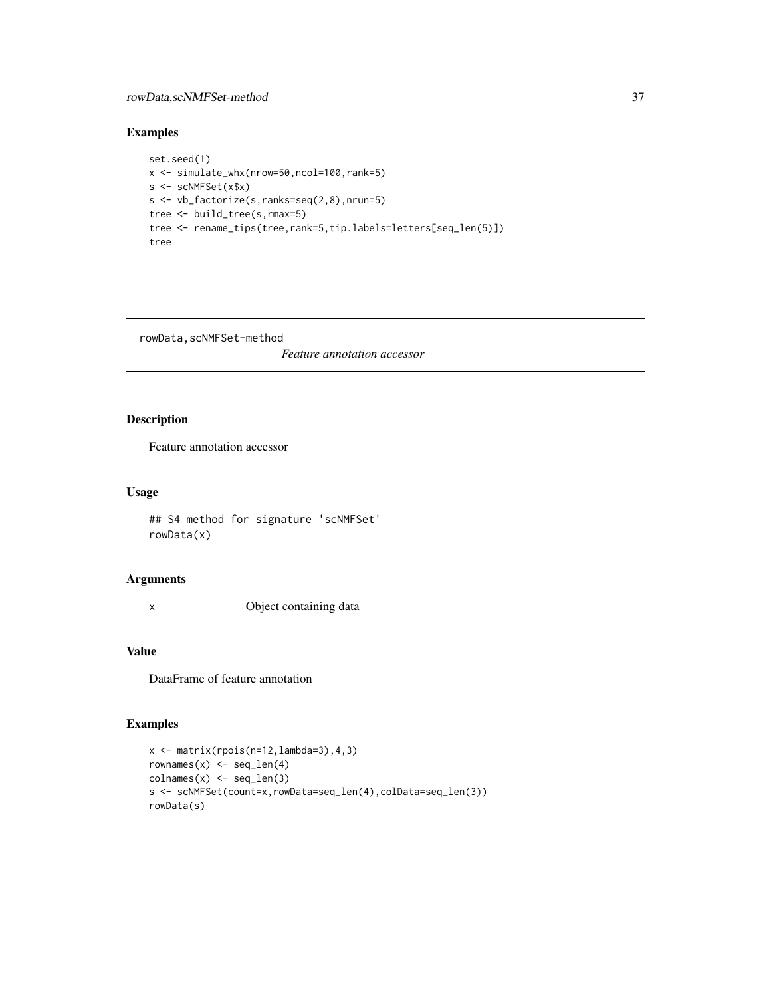### <span id="page-36-0"></span>rowData,scNMFSet-method 37

### Examples

```
set.seed(1)
x <- simulate_whx(nrow=50,ncol=100,rank=5)
s <- scNMFSet(x$x)
s <- vb_factorize(s,ranks=seq(2,8),nrun=5)
tree <- build_tree(s,rmax=5)
tree <- rename_tips(tree,rank=5,tip.labels=letters[seq_len(5)])
tree
```
rowData,scNMFSet-method

*Feature annotation accessor*

### Description

Feature annotation accessor

### Usage

## S4 method for signature 'scNMFSet' rowData(x)

### Arguments

x Object containing data

### Value

DataFrame of feature annotation

```
x \leftarrow \text{matrix}(rpois(n=12,lambda=3), 4, 3)rownames(x) \leftarrow seq\_len(4)\text{colnames}(x) \leq \text{seq\_len}(3)s <- scNMFSet(count=x,rowData=seq_len(4),colData=seq_len(3))
rowData(s)
```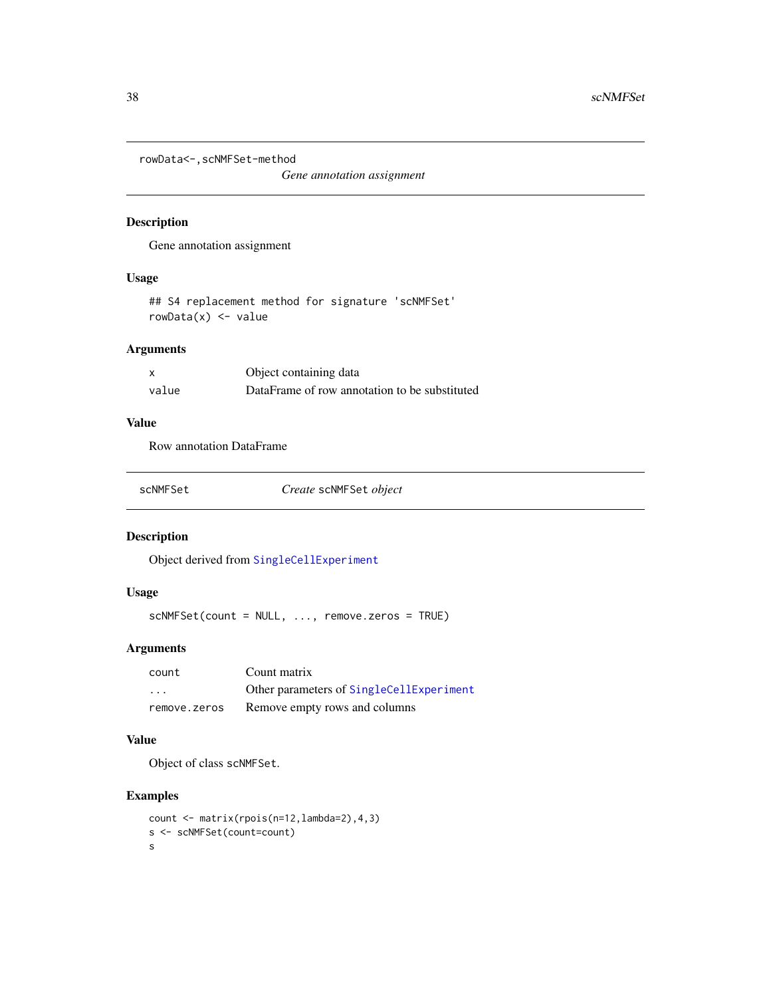```
rowData<-,scNMFSet-method
```
*Gene annotation assignment*

### Description

Gene annotation assignment

### Usage

## S4 replacement method for signature 'scNMFSet'  $rowData(x) \leq value$ 

### Arguments

|       | Object containing data                        |
|-------|-----------------------------------------------|
| value | DataFrame of row annotation to be substituted |

### Value

Row annotation DataFrame

| scNMFSet | Create scNMFSet object |
|----------|------------------------|
|----------|------------------------|

### Description

Object derived from [SingleCellExperiment](#page-0-0)

### Usage

scNMFSet(count = NULL, ..., remove.zeros = TRUE)

### Arguments

| count             | Count matrix                             |
|-------------------|------------------------------------------|
| $\cdot\cdot\cdot$ | Other parameters of SingleCellExperiment |
| remove.zeros      | Remove empty rows and columns            |

#### Value

Object of class scNMFSet.

```
count <- matrix(rpois(n=12,lambda=2),4,3)
s <- scNMFSet(count=count)
s
```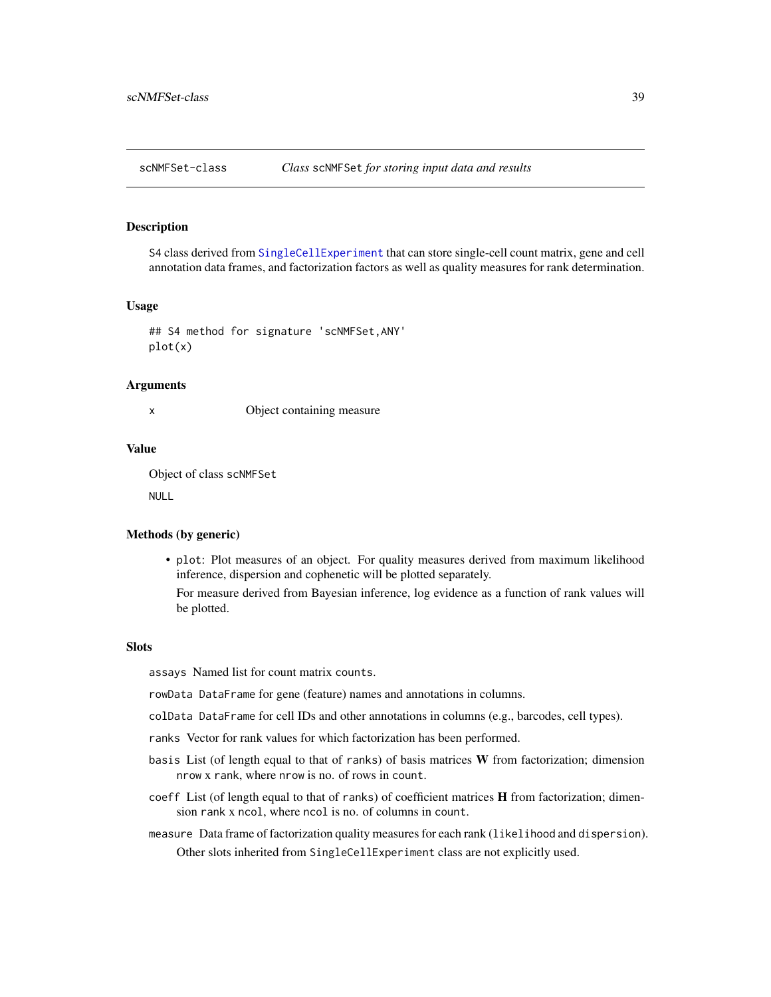<span id="page-38-0"></span>

S4 class derived from [SingleCellExperiment](#page-0-0) that can store single-cell count matrix, gene and cell annotation data frames, and factorization factors as well as quality measures for rank determination.

#### Usage

## S4 method for signature 'scNMFSet,ANY' plot(x)

#### Arguments

x Object containing measure

#### Value

Object of class scNMFSet

NULL

#### Methods (by generic)

• plot: Plot measures of an object. For quality measures derived from maximum likelihood inference, dispersion and cophenetic will be plotted separately.

For measure derived from Bayesian inference, log evidence as a function of rank values will be plotted.

### **Slots**

assays Named list for count matrix counts.

rowData DataFrame for gene (feature) names and annotations in columns.

- colData DataFrame for cell IDs and other annotations in columns (e.g., barcodes, cell types).
- ranks Vector for rank values for which factorization has been performed.
- basis List (of length equal to that of ranks) of basis matrices W from factorization; dimension nrow x rank, where nrow is no. of rows in count.
- coeff List (of length equal to that of ranks) of coefficient matrices **H** from factorization; dimension rank x ncol, where ncol is no. of columns in count.
- measure Data frame of factorization quality measures for each rank (likelihood and dispersion). Other slots inherited from SingleCellExperiment class are not explicitly used.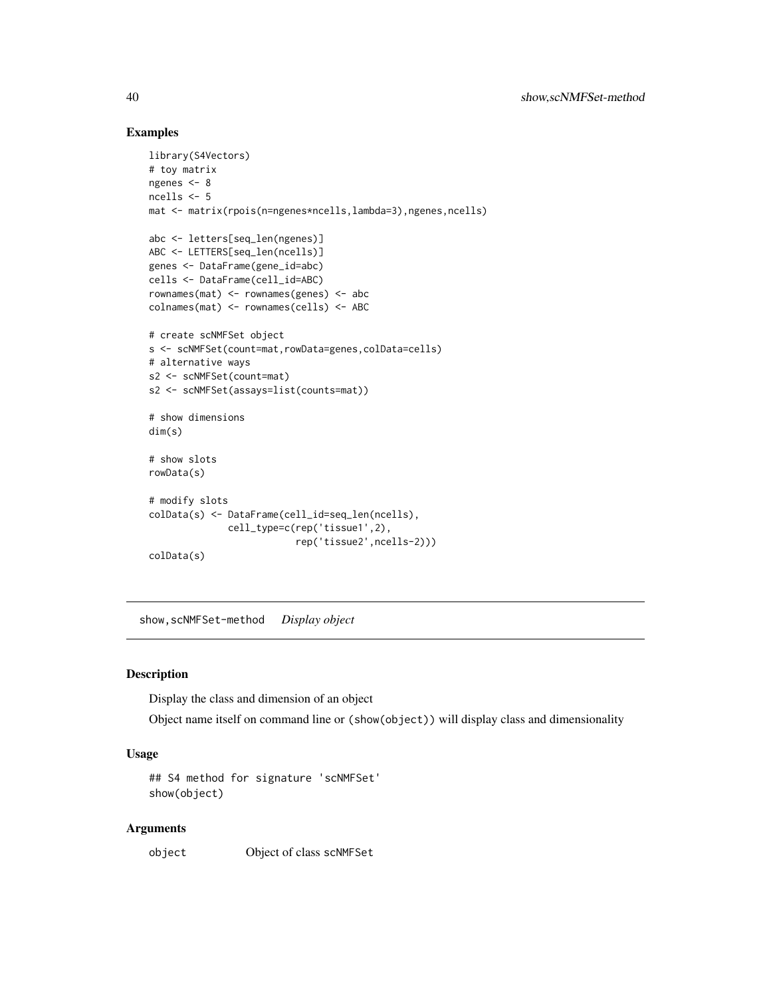#### Examples

```
library(S4Vectors)
# toy matrix
ngenes <- 8
ncells <-5mat <- matrix(rpois(n=ngenes*ncells,lambda=3),ngenes,ncells)
abc <- letters[seq_len(ngenes)]
ABC <- LETTERS[seq_len(ncells)]
genes <- DataFrame(gene_id=abc)
cells <- DataFrame(cell_id=ABC)
rownames(mat) <- rownames(genes) <- abc
colnames(mat) <- rownames(cells) <- ABC
# create scNMFSet object
s <- scNMFSet(count=mat,rowData=genes,colData=cells)
# alternative ways
s2 <- scNMFSet(count=mat)
s2 <- scNMFSet(assays=list(counts=mat))
# show dimensions
dim(s)
# show slots
rowData(s)
# modify slots
colData(s) <- DataFrame(cell_id=seq_len(ncells),
              cell_type=c(rep('tissue1',2),
                         rep('tissue2',ncells-2)))
colData(s)
```
show,scNMFSet-method *Display object*

### Description

Display the class and dimension of an object

Object name itself on command line or (show(object)) will display class and dimensionality

#### Usage

```
## S4 method for signature 'scNMFSet'
show(object)
```
#### Arguments

object Object of class scNMFSet

<span id="page-39-0"></span>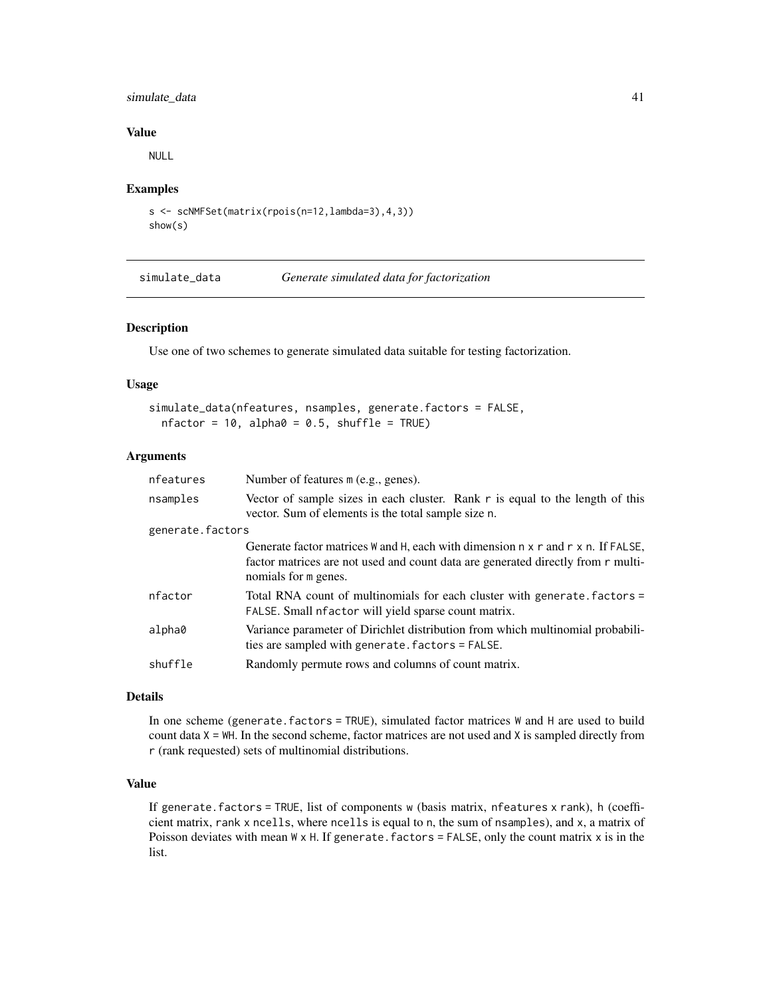### <span id="page-40-0"></span>simulate\_data 41

#### Value

NULL

#### Examples

```
s <- scNMFSet(matrix(rpois(n=12,lambda=3),4,3))
show(s)
```
simulate\_data *Generate simulated data for factorization*

#### Description

Use one of two schemes to generate simulated data suitable for testing factorization.

### Usage

```
simulate_data(nfeatures, nsamples, generate.factors = FALSE,
 nfactor = 10, alpha0 = 0.5, shuffle = TRUE)
```
### Arguments

| nfeatures        | Number of features m (e.g., genes).                                                                                                                                                          |  |
|------------------|----------------------------------------------------------------------------------------------------------------------------------------------------------------------------------------------|--|
| nsamples         | Vector of sample sizes in each cluster. Rank r is equal to the length of this<br>vector. Sum of elements is the total sample size n.                                                         |  |
| generate.factors |                                                                                                                                                                                              |  |
|                  | Generate factor matrices W and H, each with dimension n x r and r x n. If FALSE,<br>factor matrices are not used and count data are generated directly from r multi-<br>nomials for m genes. |  |
| nfactor          | Total RNA count of multinomials for each cluster with generate factors =<br>FALSE. Small nfactor will yield sparse count matrix.                                                             |  |
| alpha0           | Variance parameter of Dirichlet distribution from which multinomial probabili-<br>ties are sampled with generate. factors = FALSE.                                                           |  |
| shuffle          | Randomly permute rows and columns of count matrix.                                                                                                                                           |  |
|                  |                                                                                                                                                                                              |  |

#### Details

In one scheme (generate.factors = TRUE), simulated factor matrices W and H are used to build count data  $X = WH$ . In the second scheme, factor matrices are not used and  $X$  is sampled directly from r (rank requested) sets of multinomial distributions.

### Value

If generate.factors = TRUE, list of components w (basis matrix, nfeatures x rank), h (coefficient matrix, rank x ncells, where ncells is equal to n, the sum of nsamples), and x, a matrix of Poisson deviates with mean  $W \times H$ . If generate. factors = FALSE, only the count matrix  $x$  is in the list.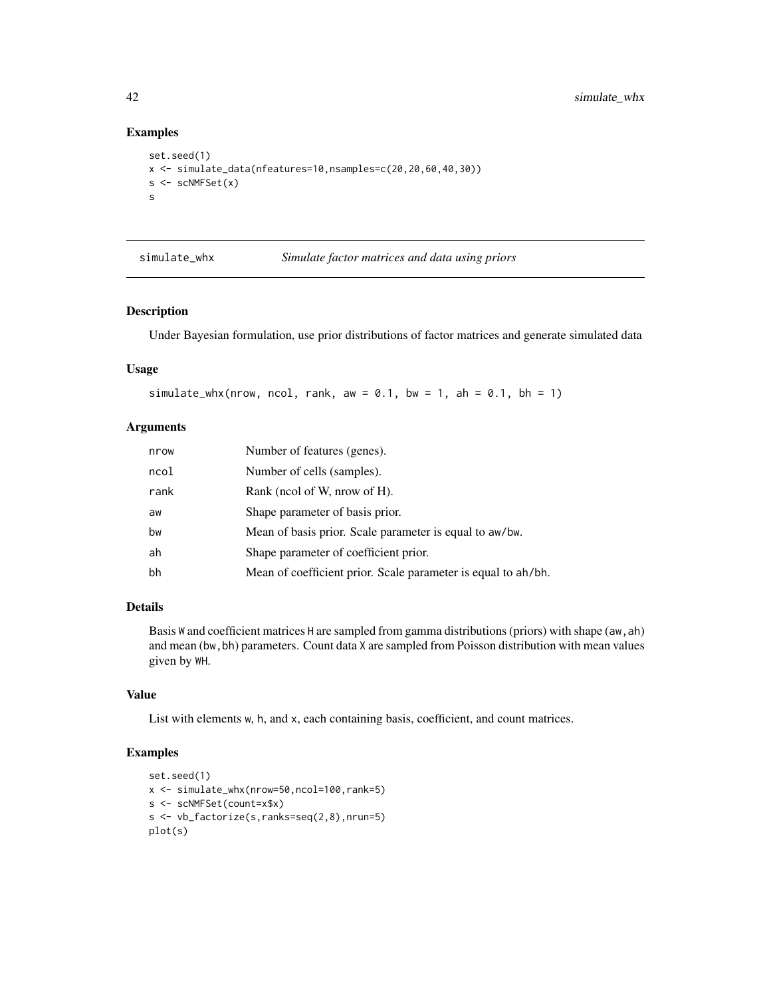### Examples

```
set.seed(1)
x <- simulate_data(nfeatures=10,nsamples=c(20,20,60,40,30))
s < -scNMFSet(x)s
```
simulate\_whx *Simulate factor matrices and data using priors*

### Description

Under Bayesian formulation, use prior distributions of factor matrices and generate simulated data

#### Usage

```
simulate_whx(nrow, ncol, rank, aw = 0.1, bw = 1, ah = 0.1, bh = 1)
```
#### Arguments

| nrow | Number of features (genes).                                   |
|------|---------------------------------------------------------------|
| ncol | Number of cells (samples).                                    |
| rank | Rank (neol of W, nrow of H).                                  |
| aw   | Shape parameter of basis prior.                               |
| bw   | Mean of basis prior. Scale parameter is equal to aw/bw.       |
| ah   | Shape parameter of coefficient prior.                         |
| bh   | Mean of coefficient prior. Scale parameter is equal to ah/bh. |

### Details

Basis W and coefficient matrices H are sampled from gamma distributions (priors) with shape (aw, ah) and mean (bw,bh) parameters. Count data X are sampled from Poisson distribution with mean values given by WH.

#### Value

List with elements w, h, and x, each containing basis, coefficient, and count matrices.

```
set.seed(1)
x <- simulate_whx(nrow=50,ncol=100,rank=5)
s <- scNMFSet(count=x$x)
s <- vb_factorize(s,ranks=seq(2,8),nrun=5)
plot(s)
```
<span id="page-41-0"></span>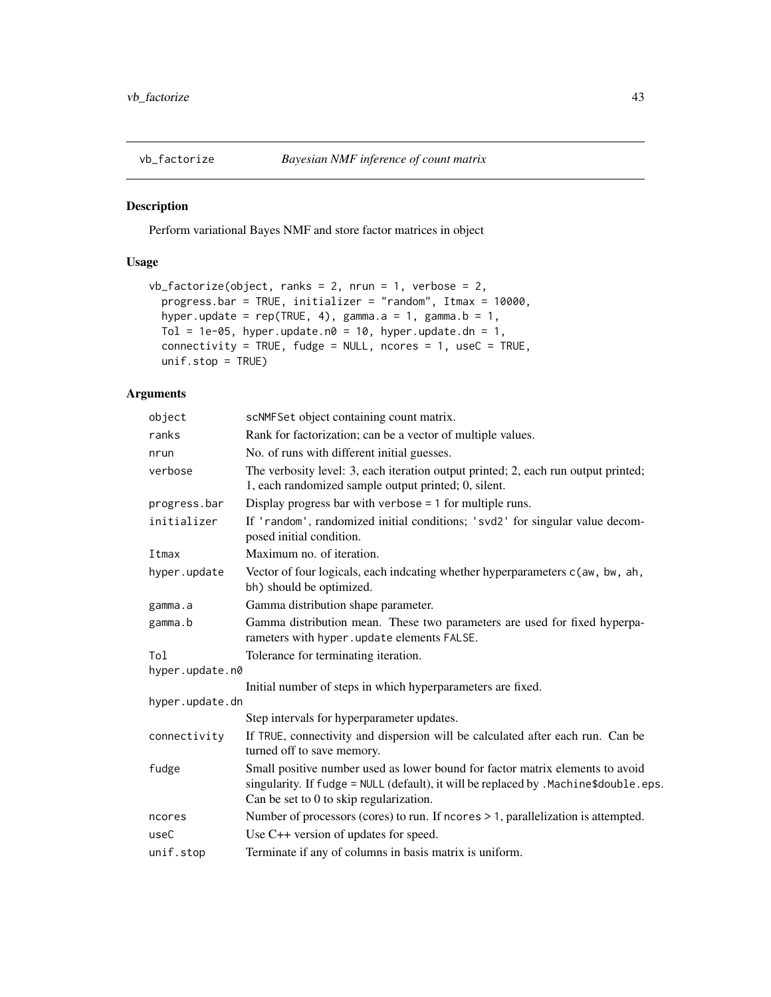<span id="page-42-1"></span><span id="page-42-0"></span>

Perform variational Bayes NMF and store factor matrices in object

### Usage

```
vb_factorize(object, ranks = 2, nrun = 1, verbose = 2,progress.bar = TRUE, initializer = "random", Itmax = 10000,
 hyper.update = rep(TRUE, 4), gamma.a = 1, gamma.b = 1,
 Tol = 1e-05, hyper.update.n0 = 10, hyper.update.dn = 1,
 connectivity = TRUE, fudge = NULL, ncores = 1, useC = TRUE,
 unif.stop = TRUE)
```
### Arguments

| object          | scNMFSet object containing count matrix.                                                                                                                                                                         |  |
|-----------------|------------------------------------------------------------------------------------------------------------------------------------------------------------------------------------------------------------------|--|
| ranks           | Rank for factorization; can be a vector of multiple values.                                                                                                                                                      |  |
| nrun            | No. of runs with different initial guesses.                                                                                                                                                                      |  |
| verbose         | The verbosity level: 3, each iteration output printed; 2, each run output printed;<br>1, each randomized sample output printed; 0, silent.                                                                       |  |
| progress.bar    | Display progress bar with verbose $= 1$ for multiple runs.                                                                                                                                                       |  |
| initializer     | If 'random', randomized initial conditions; 'svd2' for singular value decom-<br>posed initial condition.                                                                                                         |  |
| Itmax           | Maximum no. of iteration.                                                                                                                                                                                        |  |
| hyper.update    | Vector of four logicals, each indcating whether hyperparameters c(aw, bw, ah,<br>bh) should be optimized.                                                                                                        |  |
| gamma.a         | Gamma distribution shape parameter.                                                                                                                                                                              |  |
| gamma.b         | Gamma distribution mean. These two parameters are used for fixed hyperpa-<br>rameters with hyper.update elements FALSE.                                                                                          |  |
| Tol             | Tolerance for terminating iteration.                                                                                                                                                                             |  |
| hyper.update.n0 |                                                                                                                                                                                                                  |  |
|                 | Initial number of steps in which hyperparameters are fixed.                                                                                                                                                      |  |
| hyper.update.dn |                                                                                                                                                                                                                  |  |
|                 | Step intervals for hyperparameter updates.                                                                                                                                                                       |  |
| connectivity    | If TRUE, connectivity and dispersion will be calculated after each run. Can be<br>turned off to save memory.                                                                                                     |  |
| fudge           | Small positive number used as lower bound for factor matrix elements to avoid<br>singularity. If fudge = NULL (default), it will be replaced by .Machine\$double.eps.<br>Can be set to 0 to skip regularization. |  |
| ncores          | Number of processors (cores) to run. If ncores > 1, parallelization is attempted.                                                                                                                                |  |
| useC            | Use C++ version of updates for speed.                                                                                                                                                                            |  |
| unif.stop       | Terminate if any of columns in basis matrix is uniform.                                                                                                                                                          |  |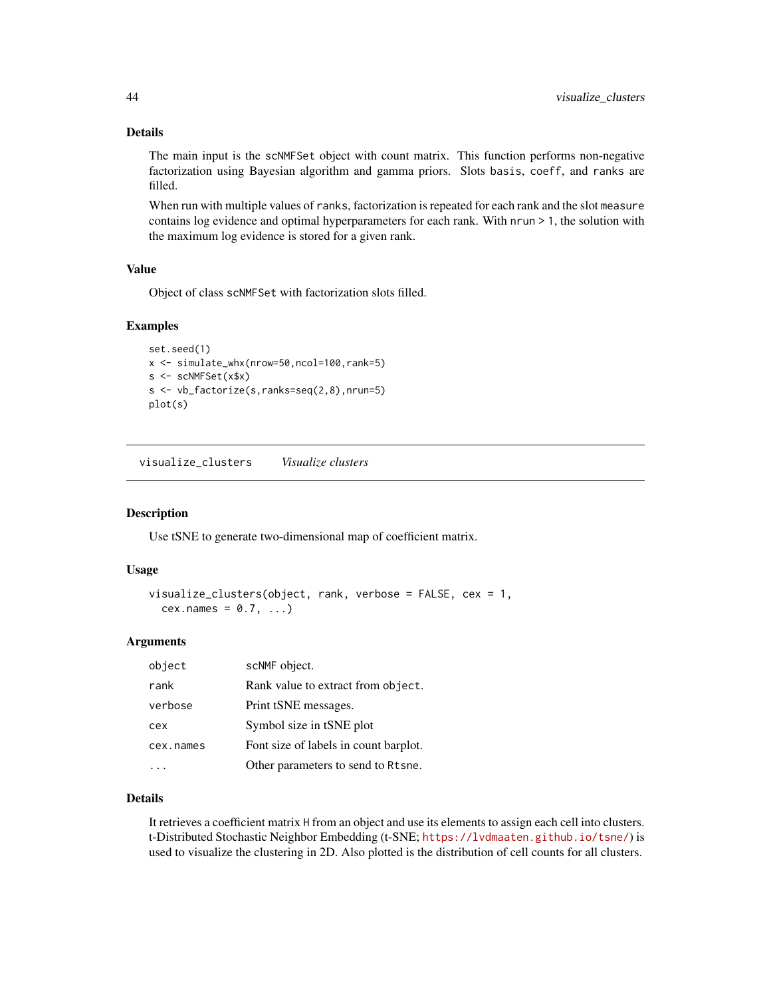### <span id="page-43-0"></span>Details

The main input is the scNMFSet object with count matrix. This function performs non-negative factorization using Bayesian algorithm and gamma priors. Slots basis, coeff, and ranks are filled.

When run with multiple values of ranks, factorization is repeated for each rank and the slot measure contains log evidence and optimal hyperparameters for each rank. With nrun > 1, the solution with the maximum log evidence is stored for a given rank.

### Value

Object of class scNMFSet with factorization slots filled.

### Examples

```
set.seed(1)
x <- simulate_whx(nrow=50,ncol=100,rank=5)
s <- scNMFSet(x$x)
s <- vb_factorize(s,ranks=seq(2,8),nrun=5)
plot(s)
```
visualize\_clusters *Visualize clusters*

### Description

Use tSNE to generate two-dimensional map of coefficient matrix.

#### Usage

```
visualize_clusters(object, rank, verbose = FALSE, cex = 1,
  cex.names = 0.7, ...
```
#### Arguments

| object    | scNMF object.                         |  |
|-----------|---------------------------------------|--|
| rank      | Rank value to extract from object.    |  |
| verbose   | Print tSNE messages.                  |  |
| cex       | Symbol size in tSNE plot              |  |
| cex.names | Font size of labels in count barplot. |  |
|           | Other parameters to send to Rtsne.    |  |

### Details

It retrieves a coefficient matrix H from an object and use its elements to assign each cell into clusters. t-Distributed Stochastic Neighbor Embedding (t-SNE; <https://lvdmaaten.github.io/tsne/>) is used to visualize the clustering in 2D. Also plotted is the distribution of cell counts for all clusters.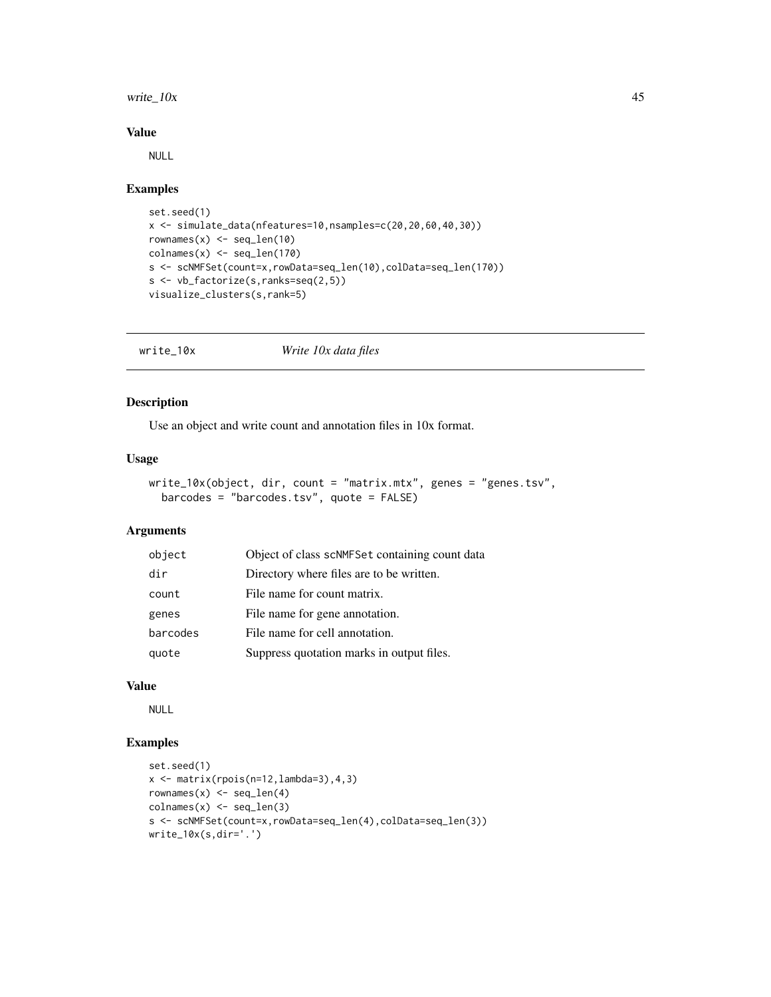#### <span id="page-44-0"></span>write\_ $10x$  45

#### Value

NULL

#### Examples

```
set.seed(1)
x <- simulate_data(nfeatures=10,nsamples=c(20,20,60,40,30))
rownames(x) \leftarrow seq\_len(10)colnames(x) <- seq_len(170)
s <- scNMFSet(count=x,rowData=seq_len(10),colData=seq_len(170))
s <- vb_factorize(s,ranks=seq(2,5))
visualize_clusters(s,rank=5)
```
write\_10x *Write 10x data files*

### Description

Use an object and write count and annotation files in 10x format.

### Usage

```
write_10x(object, dir, count = "matrix.mtx", genes = "genes.tsv",
 barcodes = "barcodes.tsv", quote = FALSE)
```
#### Arguments

| object   | Object of class scNMFSet containing count data |  |
|----------|------------------------------------------------|--|
| dir      | Directory where files are to be written.       |  |
| count    | File name for count matrix.                    |  |
| genes    | File name for gene annotation.                 |  |
| barcodes | File name for cell annotation.                 |  |
| quote    | Suppress quotation marks in output files.      |  |

### Value

NULL

```
set.seed(1)
x <- matrix(rpois(n=12,lambda=3),4,3)
rownames(x) <- seq_len(4)\text{colnames}(x) \leq \text{seq\_len}(3)s <- scNMFSet(count=x,rowData=seq_len(4),colData=seq_len(3))
write_10x(s,dir='.')
```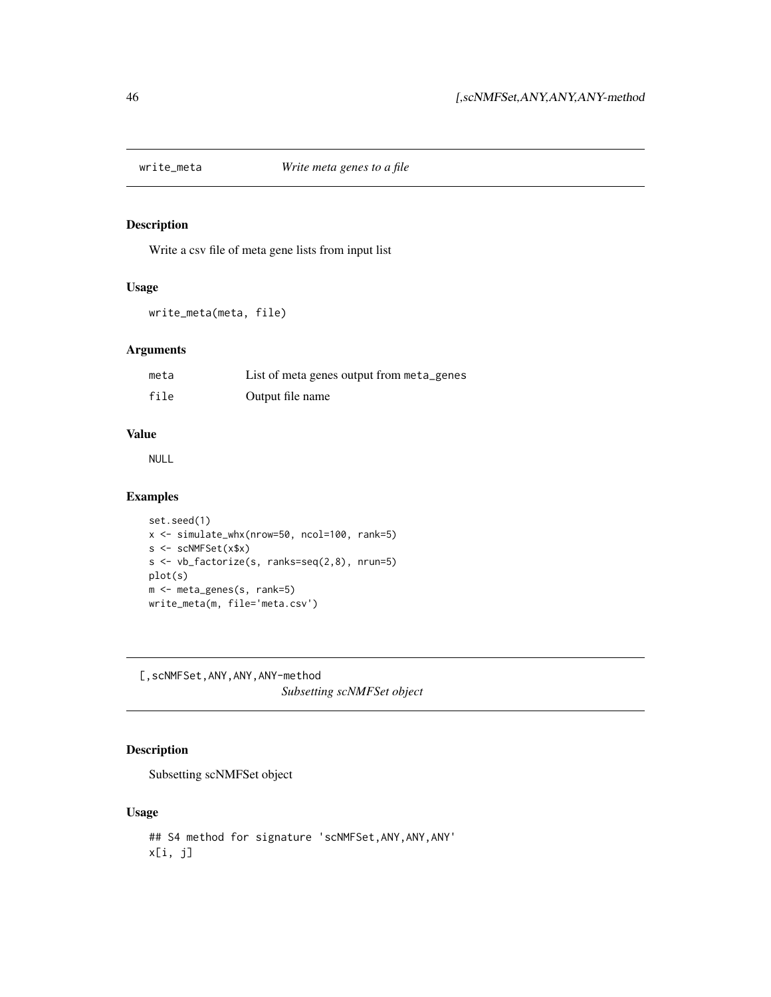<span id="page-45-0"></span>

Write a csv file of meta gene lists from input list

### Usage

write\_meta(meta, file)

### Arguments

| meta | List of meta genes output from meta_genes |
|------|-------------------------------------------|
| file | Output file name                          |

#### Value

NULL

### Examples

```
set.seed(1)
x <- simulate_whx(nrow=50, ncol=100, rank=5)
s <- scNMFSet(x$x)
s <- vb_factorize(s, ranks=seq(2,8), nrun=5)
plot(s)
m <- meta_genes(s, rank=5)
write_meta(m, file='meta.csv')
```
[,scNMFSet,ANY,ANY,ANY-method *Subsetting scNMFSet object*

### Description

Subsetting scNMFSet object

#### Usage

```
## S4 method for signature 'scNMFSet,ANY,ANY,ANY'
x[i, j]
```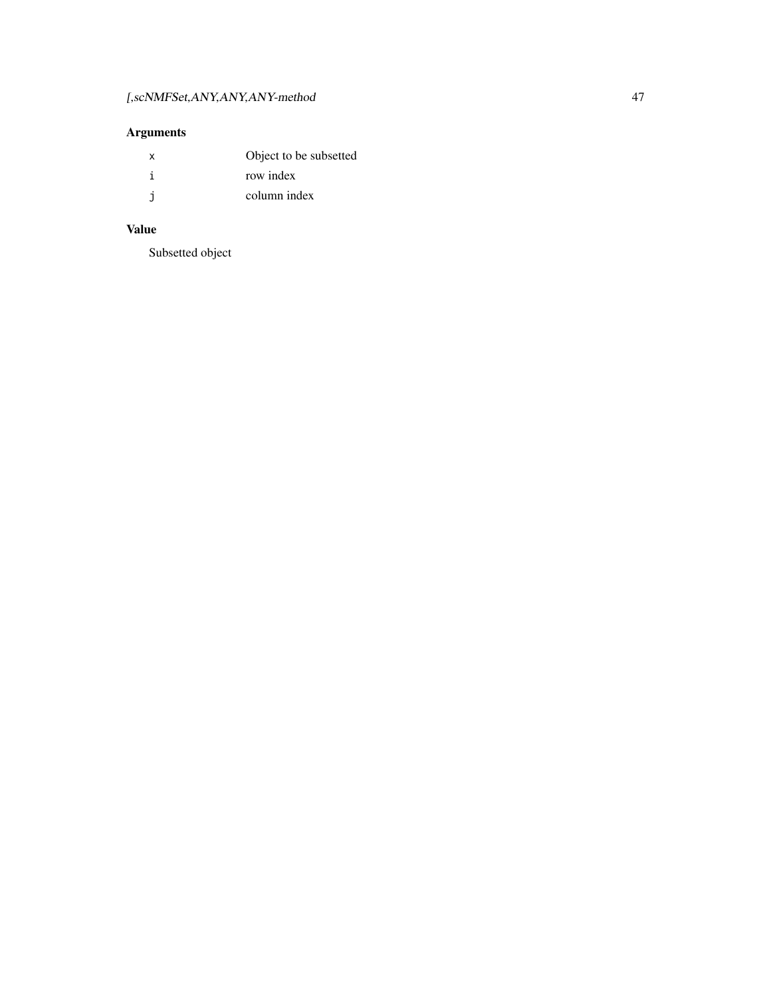## Arguments

| x  | Object to be subsetted |
|----|------------------------|
|    | row index              |
| -i | column index           |

## Value

Subsetted object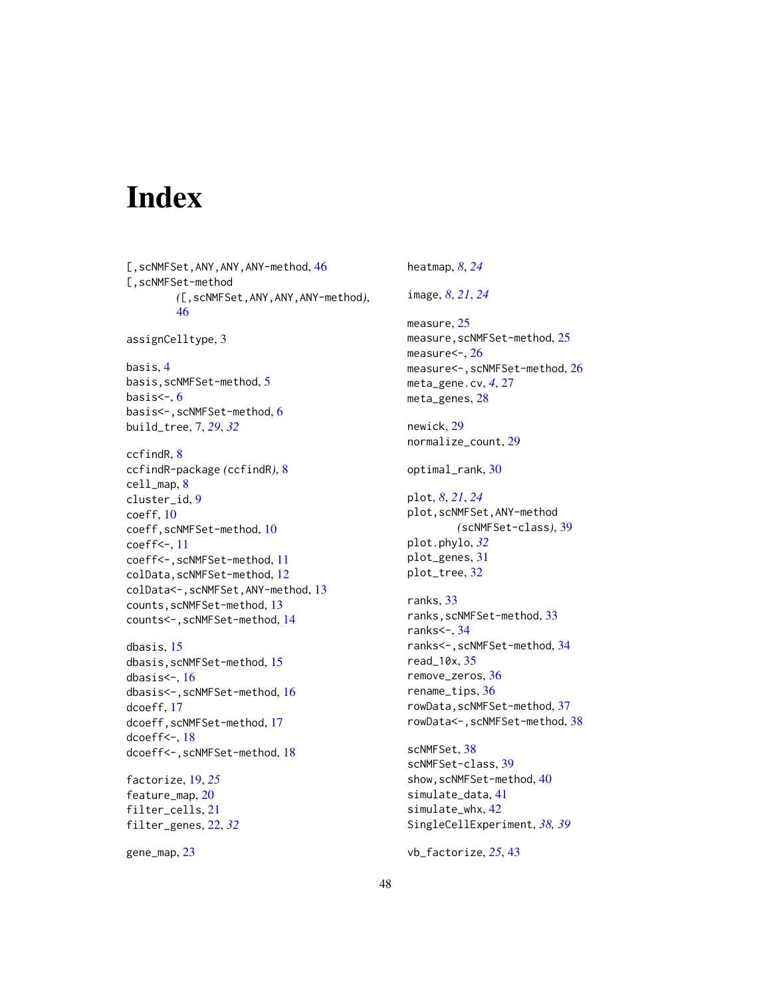# <span id="page-47-0"></span>Index

[, scNMFSet, ANY, ANY, ANY-method, [46](#page-45-0) [,scNMFSet-method *(*[,scNMFSet,ANY,ANY,ANY-method*)*, [46](#page-45-0) assignCelltype, [3](#page-2-0) basis, [4](#page-3-0) basis,scNMFSet-method, [5](#page-4-0) basis $\leq$ -,  $6$ basis<-,scNMFSet-method, [6](#page-5-0) build\_tree, [7,](#page-6-0) *[29](#page-28-0)*, *[32](#page-31-0)* ccfindR, [8](#page-7-0) ccfindR-package *(*ccfindR*)*, [8](#page-7-0) cell\_map, [8](#page-7-0) cluster\_id, [9](#page-8-0) coeff, [10](#page-9-0) coeff,scNMFSet-method, [10](#page-9-0) coeff<-, [11](#page-10-0) coeff<-,scNMFSet-method, [11](#page-10-0) colData,scNMFSet-method, [12](#page-11-0) colData<-,scNMFSet,ANY-method, [13](#page-12-0) counts,scNMFSet-method, [13](#page-12-0) counts<-,scNMFSet-method, [14](#page-13-0) dbasis, [15](#page-14-0) dbasis,scNMFSet-method, [15](#page-14-0) dbasis $\leq$ -, [16](#page-15-0) dbasis<-,scNMFSet-method, [16](#page-15-0) dcoeff, [17](#page-16-0) dcoeff, scNMFSet-method, [17](#page-16-0) dcoeff<-, [18](#page-17-0)

factorize, [19,](#page-18-0) *[25](#page-24-0)* feature\_map, [20](#page-19-0) filter\_cells, [21](#page-20-0) filter\_genes, [22,](#page-21-0) *[32](#page-31-0)*

dcoeff<-,scNMFSet-method, [18](#page-17-0)

gene\_map, [23](#page-22-0)

heatmap, *[8](#page-7-0)*, *[24](#page-23-0)*

image, *[8](#page-7-0)*, *[21](#page-20-0)*, *[24](#page-23-0)*

measure, [25](#page-24-0) measure, scNMFSet-method, [25](#page-24-0) measure<-, [26](#page-25-0) measure<-, scNMFSet-method, [26](#page-25-0) meta\_gene.cv, *[4](#page-3-0)*, [27](#page-26-0) meta\_genes, [28](#page-27-0)

newick, [29](#page-28-0) normalize\_count, [29](#page-28-0)

optimal\_rank, [30](#page-29-0)

plot, *[8](#page-7-0)*, *[21](#page-20-0)*, *[24](#page-23-0)* plot,scNMFSet,ANY-method *(*scNMFSet-class*)*, [39](#page-38-0) plot.phylo, *[32](#page-31-0)* plot\_genes, [31](#page-30-0) plot\_tree, [32](#page-31-0)

ranks, [33](#page-32-0) ranks,scNMFSet-method, [33](#page-32-0) ranks<-, [34](#page-33-0) ranks<-,scNMFSet-method, [34](#page-33-0) read\_10x, [35](#page-34-0) remove\_zeros, [36](#page-35-0) rename\_tips, [36](#page-35-0) rowData,scNMFSet-method, [37](#page-36-0) rowData<-, scNMFSet-method, [38](#page-37-0)

scNMFSet, [38](#page-37-0) scNMFSet-class, [39](#page-38-0) show, scNMFSet-method, [40](#page-39-0) simulate\_data, [41](#page-40-0) simulate\_whx, [42](#page-41-0) SingleCellExperiment, *[38,](#page-37-0) [39](#page-38-0)*

vb\_factorize, *[25](#page-24-0)*, [43](#page-42-0)